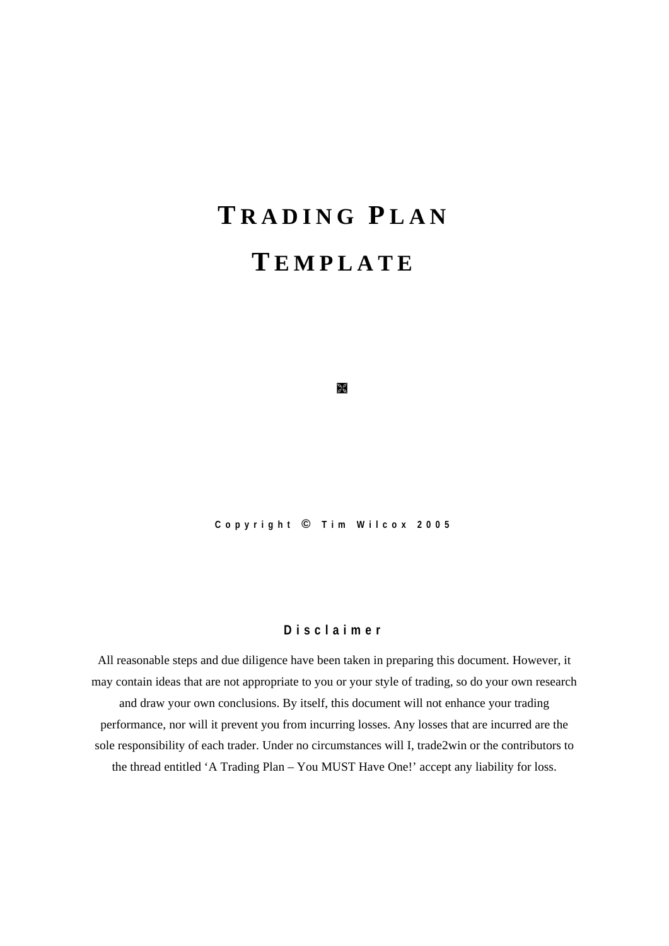# **T RADING P LAN T EMPLATE**

**Copyright © Tim Wilcox 2005** 

è<br>S

#### **Disclaimer**

All reasonable steps and due diligence have been taken in preparing this document. However, it may contain ideas that are not appropriate to you or your style of trading, so do your own research and draw your own conclusions. By itself, this document will not enhance your trading performance, nor will it prevent you from incurring losses. Any losses that are incurred are the sole responsibility of each trader. Under no circumstances will I, trade2win or the contributors to the thread entitled 'A Trading Plan – You MUST Have One!' accept any liability for loss.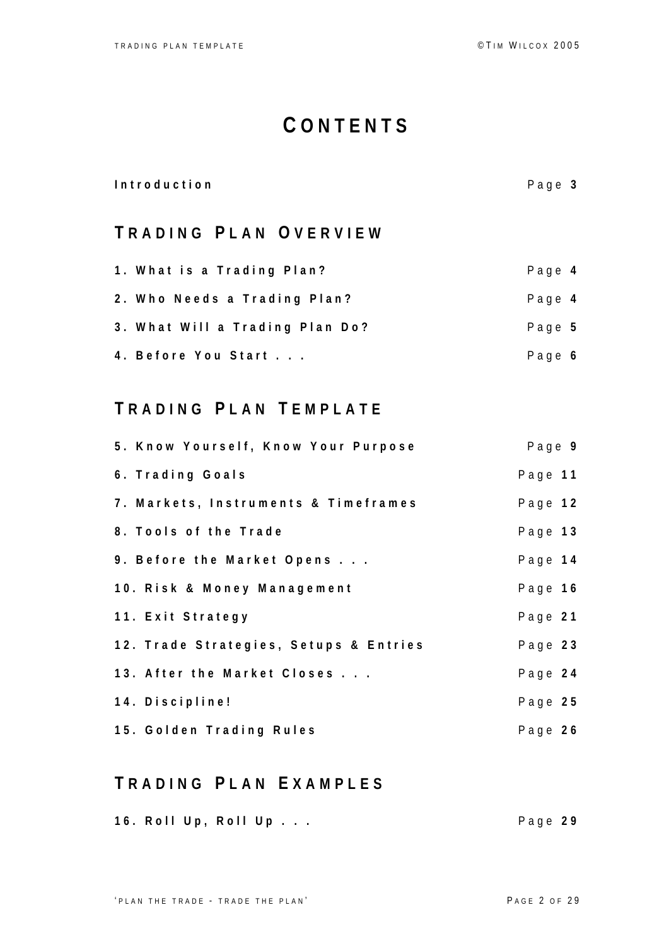## **C ONTENTS**

| Page 3 |
|--------|
|        |
| Page 4 |
| Page 4 |
| Page 5 |
| Page 6 |
|        |

## **T RADING P LAN T EMPLATE**

| 5. Know Yourself, Know Your Purpose    | Page 9  |  |
|----------------------------------------|---------|--|
| 6. Trading Goals                       | Page 11 |  |
| 7. Markets, Instruments & Timeframes   | Page 12 |  |
| 8. Tools of the Trade                  | Page 13 |  |
| 9. Before the Market Opens             | Page 14 |  |
| 10. Risk & Money Management            | Page 16 |  |
| 11. Exit Strategy                      | Page 21 |  |
| 12. Trade Strategies, Setups & Entries | Page 23 |  |
| 13. After the Market Closes            | Page 24 |  |
| 14. Discipline!                        | Page 25 |  |
| 15. Golden Trading Rules               | Page 26 |  |

## **T RADING P LAN E XAMPLES**

|  | 16. Roll Up, Roll Up | Page 29 |
|--|----------------------|---------|
|  |                      |         |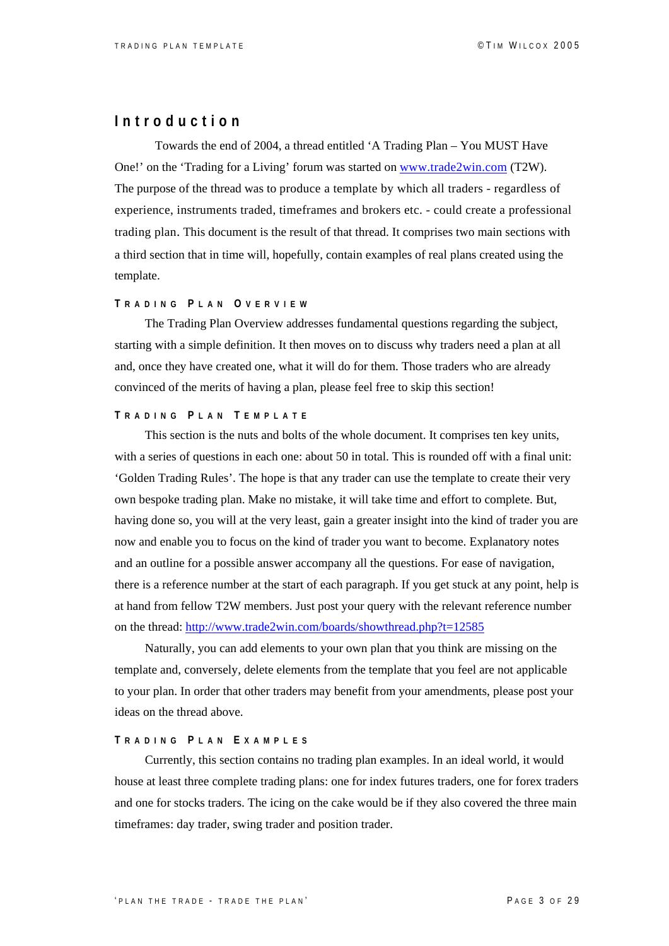## **Introduction**

Towards the end of 2004, a thread entitled 'A Trading Plan – You MUST Have One!' on the 'Trading for a Living' forum was started on [www.trade2win.com](http://www.trade2win.com/) (T2W). The purpose of the thread was to produce a template by which all traders - regardless of experience, instruments traded, timeframes and brokers etc. - could create a professional trading plan. This document is the result of that thread. It comprises two main sections with a third section that in time will, hopefully, contain examples of real plans created using the template.

#### **T RADING P LAN O VERVIEW**

The Trading Plan Overview addresses fundamental questions regarding the subject, starting with a simple definition. It then moves on to discuss why traders need a plan at all and, once they have created one, what it will do for them. Those traders who are already convinced of the merits of having a plan, please feel free to skip this section!

#### **T RADING P LAN T EMPLATE**

This section is the nuts and bolts of the whole document. It comprises ten key units, with a series of questions in each one: about 50 in total. This is rounded off with a final unit: 'Golden Trading Rules'. The hope is that any trader can use the template to create their very own bespoke trading plan. Make no mistake, it will take time and effort to complete. But, having done so, you will at the very least, gain a greater insight into the kind of trader you are now and enable you to focus on the kind of trader you want to become. Explanatory notes and an outline for a possible answer accompany all the questions. For ease of navigation, there is a reference number at the start of each paragraph. If you get stuck at any point, help is at hand from fellow T2W members. Just post your query with the relevant reference number on the thread:<http://www.trade2win.com/boards/showthread.php?t=12585>

Naturally, you can add elements to your own plan that you think are missing on the template and, conversely, delete elements from the template that you feel are not applicable to your plan. In order that other traders may benefit from your amendments, please post your ideas on the thread above.

#### **T RADING P LAN E XAMPLES**

Currently, this section contains no trading plan examples. In an ideal world, it would house at least three complete trading plans: one for index futures traders, one for forex traders and one for stocks traders. The icing on the cake would be if they also covered the three main timeframes: day trader, swing trader and position trader.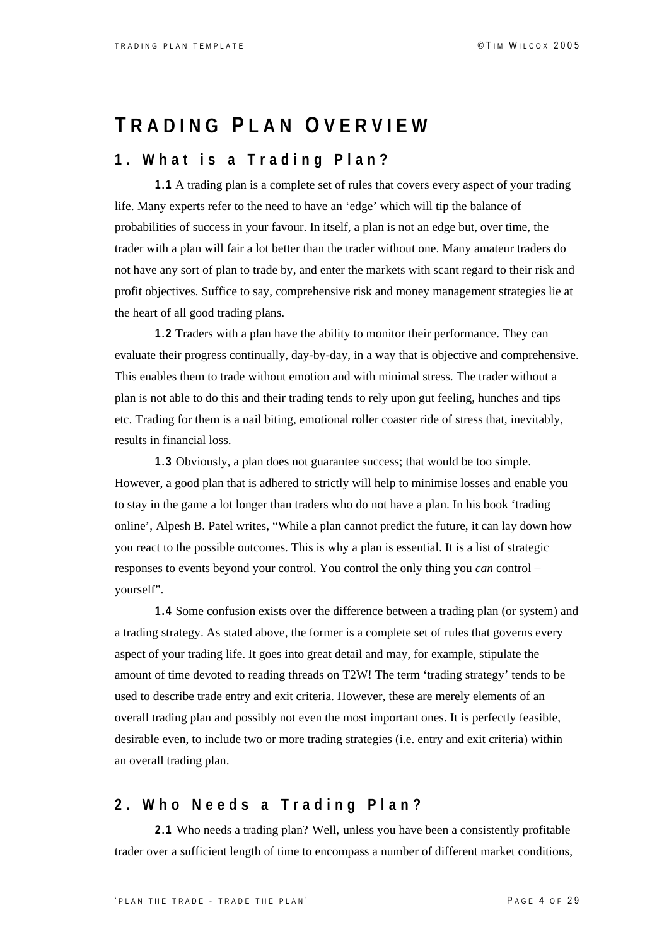## **T RADING P LAN O VERVIEW**

## **1. What is a Trading Plan?**

**1.1** A trading plan is a complete set of rules that covers every aspect of your trading life. Many experts refer to the need to have an 'edge' which will tip the balance of probabilities of success in your favour. In itself, a plan is not an edge but, over time, the trader with a plan will fair a lot better than the trader without one. Many amateur traders do not have any sort of plan to trade by, and enter the markets with scant regard to their risk and profit objectives. Suffice to say, comprehensive risk and money management strategies lie at the heart of all good trading plans.

**1.2** Traders with a plan have the ability to monitor their performance. They can evaluate their progress continually, day-by-day, in a way that is objective and comprehensive. This enables them to trade without emotion and with minimal stress. The trader without a plan is not able to do this and their trading tends to rely upon gut feeling, hunches and tips etc. Trading for them is a nail biting, emotional roller coaster ride of stress that, inevitably, results in financial loss.

**1.3** Obviously, a plan does not guarantee success; that would be too simple. However, a good plan that is adhered to strictly will help to minimise losses and enable you to stay in the game a lot longer than traders who do not have a plan. In his book 'trading online', Alpesh B. Patel writes, "While a plan cannot predict the future, it can lay down how you react to the possible outcomes. This is why a plan is essential. It is a list of strategic responses to events beyond your control. You control the only thing you *can* control – yourself".

**1.4** Some confusion exists over the difference between a trading plan (or system) and a trading strategy. As stated above, the former is a complete set of rules that governs every aspect of your trading life. It goes into great detail and may, for example, stipulate the amount of time devoted to reading threads on T2W! The term 'trading strategy' tends to be used to describe trade entry and exit criteria. However, these are merely elements of an overall trading plan and possibly not even the most important ones. It is perfectly feasible, desirable even, to include two or more trading strategies (i.e. entry and exit criteria) within an overall trading plan.

## **2. Who Needs a Trading Plan?**

**2.1** Who needs a trading plan? Well, unless you have been a consistently profitable trader over a sufficient length of time to encompass a number of different market conditions,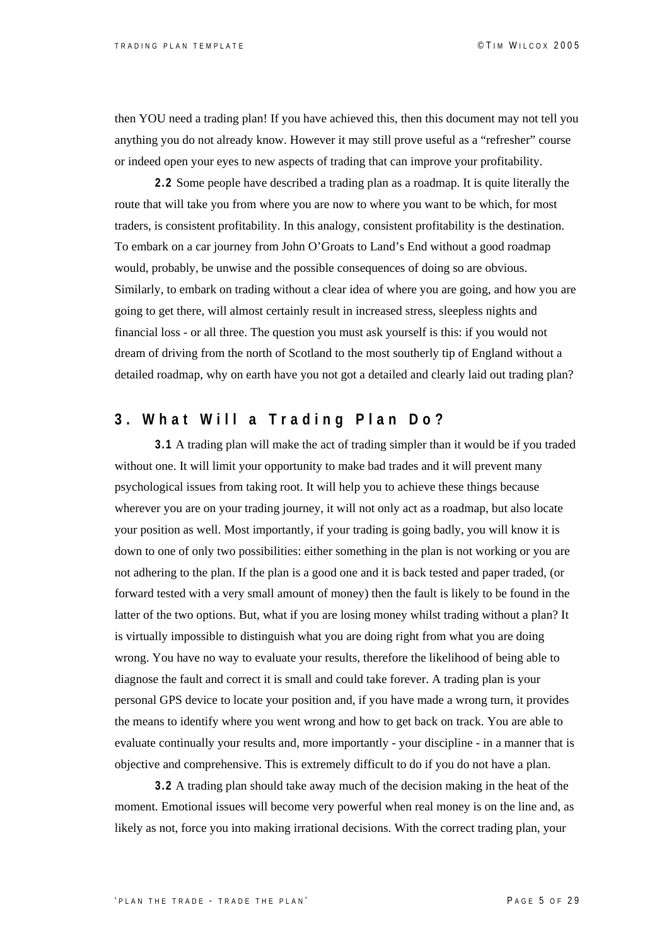then YOU need a trading plan! If you have achieved this, then this document may not tell you anything you do not already know. However it may still prove useful as a "refresher" course or indeed open your eyes to new aspects of trading that can improve your profitability.

**2.2** Some people have described a trading plan as a roadmap. It is quite literally the route that will take you from where you are now to where you want to be which, for most traders, is consistent profitability. In this analogy, consistent profitability is the destination. To embark on a car journey from John O'Groats to Land's End without a good roadmap would, probably, be unwise and the possible consequences of doing so are obvious. Similarly, to embark on trading without a clear idea of where you are going, and how you are going to get there, will almost certainly result in increased stress, sleepless nights and financial loss - or all three. The question you must ask yourself is this: if you would not dream of driving from the north of Scotland to the most southerly tip of England without a detailed roadmap, why on earth have you not got a detailed and clearly laid out trading plan?

## **3. What Will a Trading Plan Do?**

**3.1** A trading plan will make the act of trading simpler than it would be if you traded without one. It will limit your opportunity to make bad trades and it will prevent many psychological issues from taking root. It will help you to achieve these things because wherever you are on your trading journey, it will not only act as a roadmap, but also locate your position as well. Most importantly, if your trading is going badly, you will know it is down to one of only two possibilities: either something in the plan is not working or you are not adhering to the plan. If the plan is a good one and it is back tested and paper traded, (or forward tested with a very small amount of money) then the fault is likely to be found in the latter of the two options. But, what if you are losing money whilst trading without a plan? It is virtually impossible to distinguish what you are doing right from what you are doing wrong. You have no way to evaluate your results, therefore the likelihood of being able to diagnose the fault and correct it is small and could take forever. A trading plan is your personal GPS device to locate your position and, if you have made a wrong turn, it provides the means to identify where you went wrong and how to get back on track. You are able to evaluate continually your results and, more importantly - your discipline - in a manner that is objective and comprehensive. This is extremely difficult to do if you do not have a plan.

**3.2** A trading plan should take away much of the decision making in the heat of the moment. Emotional issues will become very powerful when real money is on the line and, as likely as not, force you into making irrational decisions. With the correct trading plan, your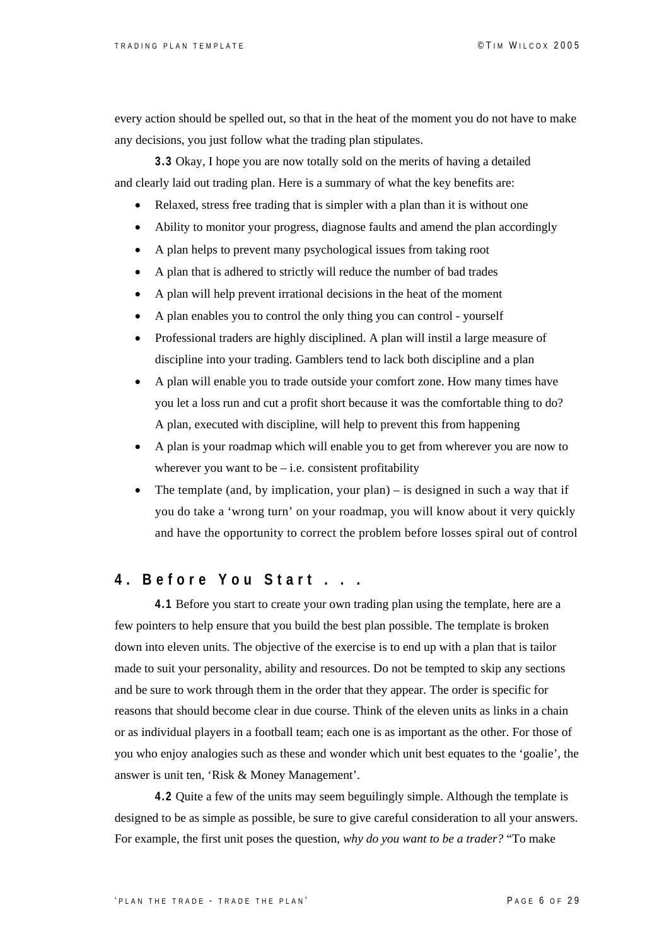every action should be spelled out, so that in the heat of the moment you do not have to make any decisions, you just follow what the trading plan stipulates.

**3.3** Okay, I hope you are now totally sold on the merits of having a detailed and clearly laid out trading plan. Here is a summary of what the key benefits are:

- Relaxed, stress free trading that is simpler with a plan than it is without one
- Ability to monitor your progress, diagnose faults and amend the plan accordingly
- A plan helps to prevent many psychological issues from taking root
- A plan that is adhered to strictly will reduce the number of bad trades
- A plan will help prevent irrational decisions in the heat of the moment
- A plan enables you to control the only thing you can control yourself
- Professional traders are highly disciplined. A plan will instil a large measure of discipline into your trading. Gamblers tend to lack both discipline and a plan
- A plan will enable you to trade outside your comfort zone. How many times have you let a loss run and cut a profit short because it was the comfortable thing to do? A plan, executed with discipline, will help to prevent this from happening
- A plan is your roadmap which will enable you to get from wherever you are now to wherever you want to be  $-$  i.e. consistent profitability
- The template (and, by implication, your plan) is designed in such a way that if you do take a 'wrong turn' on your roadmap, you will know about it very quickly and have the opportunity to correct the problem before losses spiral out of control

## **4. Before You Start . . .**

**4.1** Before you start to create your own trading plan using the template, here are a few pointers to help ensure that you build the best plan possible. The template is broken down into eleven units. The objective of the exercise is to end up with a plan that is tailor made to suit your personality, ability and resources. Do not be tempted to skip any sections and be sure to work through them in the order that they appear. The order is specific for reasons that should become clear in due course. Think of the eleven units as links in a chain or as individual players in a football team; each one is as important as the other. For those of you who enjoy analogies such as these and wonder which unit best equates to the 'goalie', the answer is unit ten, 'Risk & Money Management'.

**4.2** Quite a few of the units may seem beguilingly simple. Although the template is designed to be as simple as possible, be sure to give careful consideration to all your answers. For example, the first unit poses the question, *why do you want to be a trader?* "To make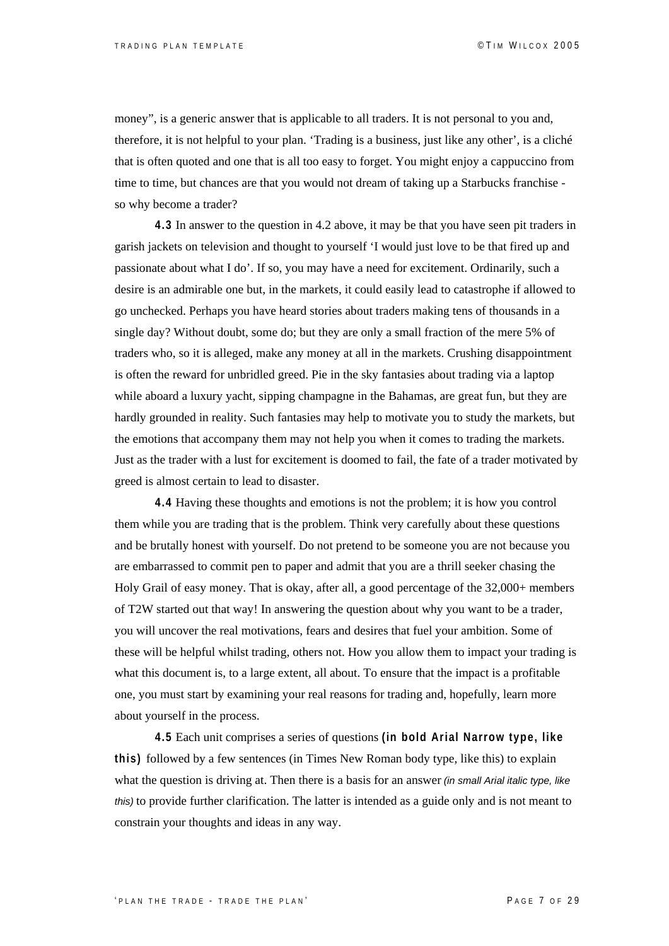money", is a generic answer that is applicable to all traders. It is not personal to you and, therefore, it is not helpful to your plan. 'Trading is a business, just like any other', is a cliché that is often quoted and one that is all too easy to forget. You might enjoy a cappuccino from time to time, but chances are that you would not dream of taking up a Starbucks franchise so why become a trader?

**4.3** In answer to the question in 4.2 above, it may be that you have seen pit traders in garish jackets on television and thought to yourself 'I would just love to be that fired up and passionate about what I do'. If so, you may have a need for excitement. Ordinarily, such a desire is an admirable one but, in the markets, it could easily lead to catastrophe if allowed to go unchecked. Perhaps you have heard stories about traders making tens of thousands in a single day? Without doubt, some do; but they are only a small fraction of the mere 5% of traders who, so it is alleged, make any money at all in the markets. Crushing disappointment is often the reward for unbridled greed. Pie in the sky fantasies about trading via a laptop while aboard a luxury yacht, sipping champagne in the Bahamas, are great fun, but they are hardly grounded in reality. Such fantasies may help to motivate you to study the markets, but the emotions that accompany them may not help you when it comes to trading the markets. Just as the trader with a lust for excitement is doomed to fail, the fate of a trader motivated by greed is almost certain to lead to disaster.

**4.4** Having these thoughts and emotions is not the problem; it is how you control them while you are trading that is the problem. Think very carefully about these questions and be brutally honest with yourself. Do not pretend to be someone you are not because you are embarrassed to commit pen to paper and admit that you are a thrill seeker chasing the Holy Grail of easy money. That is okay, after all, a good percentage of the 32,000+ members of T2W started out that way! In answering the question about why you want to be a trader, you will uncover the real motivations, fears and desires that fuel your ambition. Some of these will be helpful whilst trading, others not. How you allow them to impact your trading is what this document is, to a large extent, all about. To ensure that the impact is a profitable one, you must start by examining your real reasons for trading and, hopefully, learn more about yourself in the process.

**4.5** Each unit comprises a series of questions **(in bold Arial Narrow type, like this)** followed by a few sentences (in Times New Roman body type, like this) to explain what the question is driving at. Then there is a basis for an answer *(in small Arial italic type, like this)* to provide further clarification. The latter is intended as a guide only and is not meant to constrain your thoughts and ideas in any way.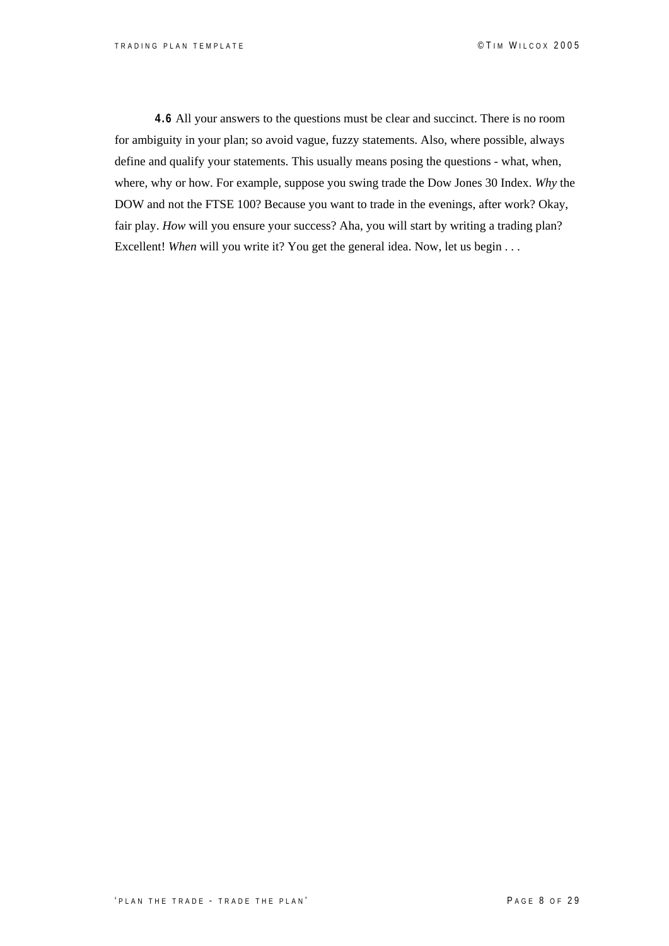**4.6** All your answers to the questions must be clear and succinct. There is no room for ambiguity in your plan; so avoid vague, fuzzy statements. Also, where possible, always define and qualify your statements. This usually means posing the questions - what, when, where, why or how. For example, suppose you swing trade the Dow Jones 30 Index. *Why* the DOW and not the FTSE 100? Because you want to trade in the evenings, after work? Okay, fair play. *How* will you ensure your success? Aha, you will start by writing a trading plan? Excellent! *When* will you write it? You get the general idea. Now, let us begin . . .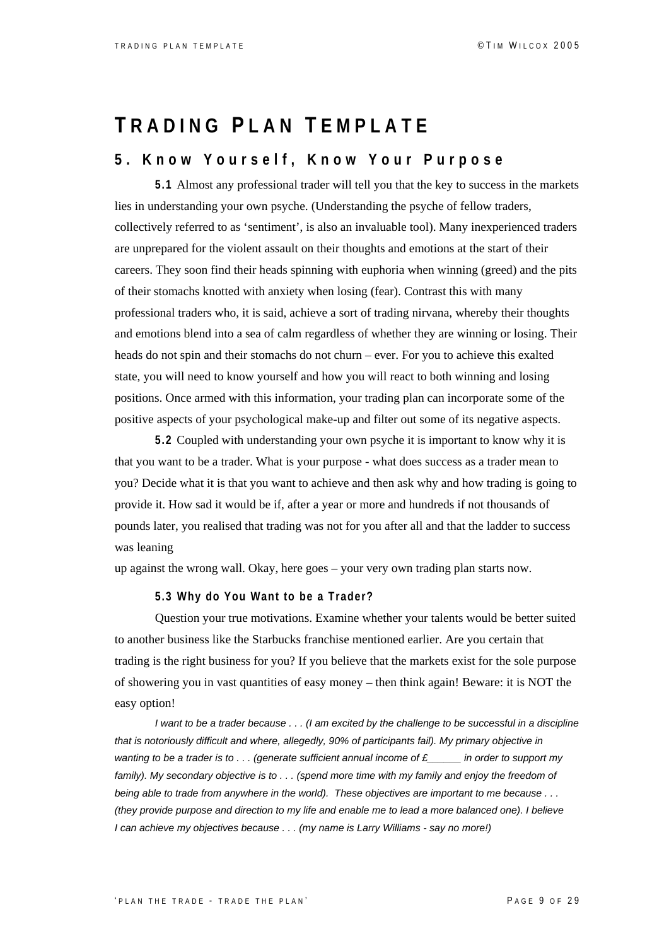## **T RADING P LAN T EMPLATE**

## **5. Know Yourself, Know Your Purpose**

**5.1** Almost any professional trader will tell you that the key to success in the markets lies in understanding your own psyche. (Understanding the psyche of fellow traders, collectively referred to as 'sentiment', is also an invaluable tool). Many inexperienced traders are unprepared for the violent assault on their thoughts and emotions at the start of their careers. They soon find their heads spinning with euphoria when winning (greed) and the pits of their stomachs knotted with anxiety when losing (fear). Contrast this with many professional traders who, it is said, achieve a sort of trading nirvana, whereby their thoughts and emotions blend into a sea of calm regardless of whether they are winning or losing. Their heads do not spin and their stomachs do not churn – ever. For you to achieve this exalted state, you will need to know yourself and how you will react to both winning and losing positions. Once armed with this information, your trading plan can incorporate some of the positive aspects of your psychological make-up and filter out some of its negative aspects.

**5.2** Coupled with understanding your own psyche it is important to know why it is that you want to be a trader. What is your purpose - what does success as a trader mean to you? Decide what it is that you want to achieve and then ask why and how trading is going to provide it. How sad it would be if, after a year or more and hundreds if not thousands of pounds later, you realised that trading was not for you after all and that the ladder to success was leaning

up against the wrong wall. Okay, here goes – your very own trading plan starts now.

#### **5.3 Why do You Want to be a Trader?**

Question your true motivations. Examine whether your talents would be better suited to another business like the Starbucks franchise mentioned earlier. Are you certain that trading is the right business for you? If you believe that the markets exist for the sole purpose of showering you in vast quantities of easy money – then think again! Beware: it is NOT the easy option!

*I want to be a trader because . . . (I am excited by the challenge to be successful in a discipline that is notoriously difficult and where, allegedly, 90% of participants fail). My primary objective in wanting to be a trader is to . . . (generate sufficient annual income of £\_\_\_\_\_\_ in order to support my*  family). My secondary objective is to . . . (spend more time with my family and enjoy the freedom of *being able to trade from anywhere in the world). These objectives are important to me because . . . (they provide purpose and direction to my life and enable me to lead a more balanced one). I believe I can achieve my objectives because . . . (my name is Larry Williams - say no more!)*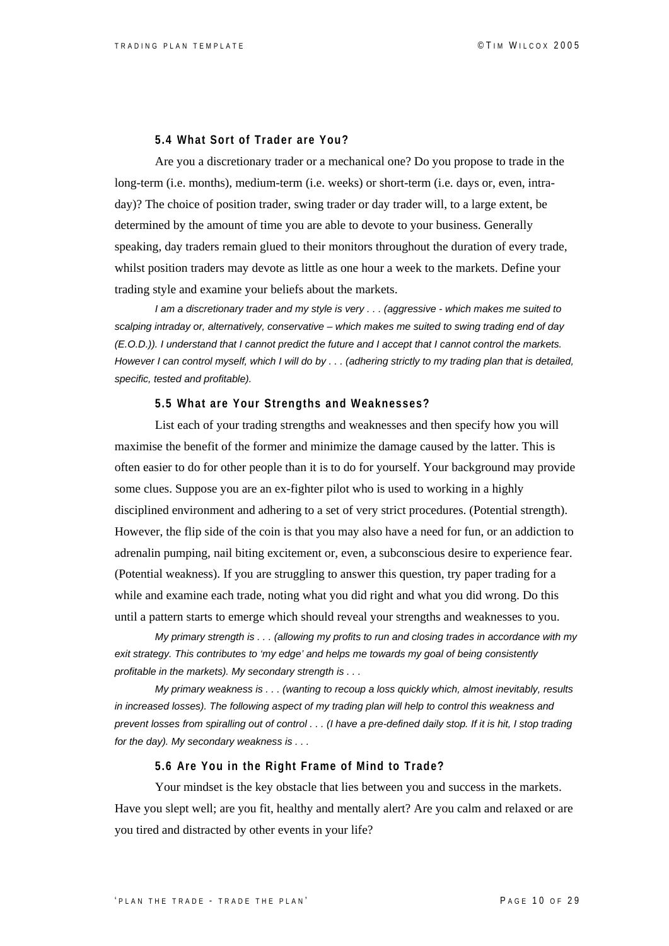#### **5.4 What Sort of Trader are You?**

Are you a discretionary trader or a mechanical one? Do you propose to trade in the long-term (i.e. months), medium-term (i.e. weeks) or short-term (i.e. days or, even, intraday)? The choice of position trader, swing trader or day trader will, to a large extent, be determined by the amount of time you are able to devote to your business. Generally speaking, day traders remain glued to their monitors throughout the duration of every trade, whilst position traders may devote as little as one hour a week to the markets. Define your trading style and examine your beliefs about the markets.

*I am a discretionary trader and my style is very . . . (aggressive - which makes me suited to scalping intraday or, alternatively, conservative – which makes me suited to swing trading end of day (E.O.D.)). I understand that I cannot predict the future and I accept that I cannot control the markets. However I can control myself, which I will do by . . . (adhering strictly to my trading plan that is detailed, specific, tested and profitable).*

#### **5.5 What are Your Strengths and Weaknesses?**

List each of your trading strengths and weaknesses and then specify how you will maximise the benefit of the former and minimize the damage caused by the latter. This is often easier to do for other people than it is to do for yourself. Your background may provide some clues. Suppose you are an ex-fighter pilot who is used to working in a highly disciplined environment and adhering to a set of very strict procedures. (Potential strength). However, the flip side of the coin is that you may also have a need for fun, or an addiction to adrenalin pumping, nail biting excitement or, even, a subconscious desire to experience fear. (Potential weakness). If you are struggling to answer this question, try paper trading for a while and examine each trade, noting what you did right and what you did wrong. Do this until a pattern starts to emerge which should reveal your strengths and weaknesses to you.

*My primary strength is . . . (allowing my profits to run and closing trades in accordance with my exit strategy. This contributes to 'my edge' and helps me towards my goal of being consistently profitable in the markets). My secondary strength is . . .* 

*My primary weakness is . . . (wanting to recoup a loss quickly which, almost inevitably, results in increased losses). The following aspect of my trading plan will help to control this weakness and prevent losses from spiralling out of control . . . (I have a pre-defined daily stop. If it is hit, I stop trading for the day). My secondary weakness is . . .*

#### **5.6 Are You in the Right Frame of Mind to Trade?**

Your mindset is the key obstacle that lies between you and success in the markets. Have you slept well; are you fit, healthy and mentally alert? Are you calm and relaxed or are you tired and distracted by other events in your life?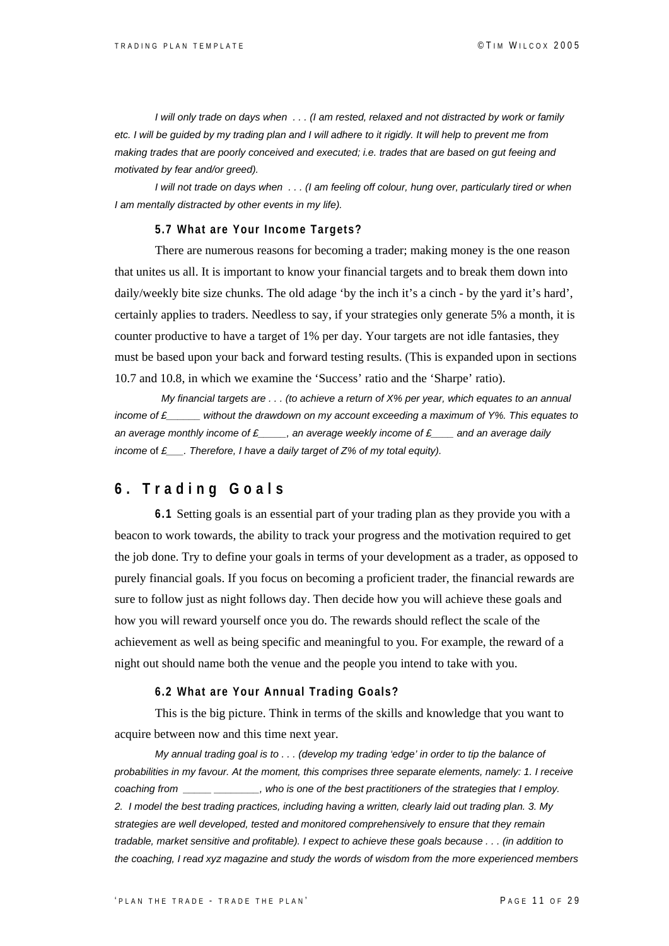*I will only trade on days when . . . (I am rested, relaxed and not distracted by work or family etc. I will be guided by my trading plan and I will adhere to it rigidly. It will help to prevent me from making trades that are poorly conceived and executed; i.e. trades that are based on gut feeing and motivated by fear and/or greed).* 

 *I will not trade on days when . . . (I am feeling off colour, hung over, particularly tired or when I am mentally distracted by other events in my life).* 

#### **5.7 What are Your Income Targets?**

There are numerous reasons for becoming a trader; making money is the one reason that unites us all. It is important to know your financial targets and to break them down into daily/weekly bite size chunks. The old adage 'by the inch it's a cinch - by the yard it's hard', certainly applies to traders. Needless to say, if your strategies only generate 5% a month, it is counter productive to have a target of 1% per day. Your targets are not idle fantasies, they must be based upon your back and forward testing results. (This is expanded upon in sections 10.7 and 10.8, in which we examine the 'Success' ratio and the 'Sharpe' ratio).

 *My financial targets are . . . (to achieve a return of X% per year, which equates to an annual income of £\_\_\_\_\_\_ without the drawdown on my account exceeding a maximum of Y%. This equates to an average monthly income of £\_\_\_\_\_, an average weekly income of £\_\_\_\_ and an average daily income* of *£\_\_\_. Therefore, I have a daily target of Z% of my total equity).*

## **6. Trading Goals**

**6.1** Setting goals is an essential part of your trading plan as they provide you with a beacon to work towards, the ability to track your progress and the motivation required to get the job done. Try to define your goals in terms of your development as a trader, as opposed to purely financial goals. If you focus on becoming a proficient trader, the financial rewards are sure to follow just as night follows day. Then decide how you will achieve these goals and how you will reward yourself once you do. The rewards should reflect the scale of the achievement as well as being specific and meaningful to you. For example, the reward of a night out should name both the venue and the people you intend to take with you.

#### **6.2 What are Your Annual Trading Goals?**

This is the big picture. Think in terms of the skills and knowledge that you want to acquire between now and this time next year.

*My annual trading goal is to . . . (develop my trading 'edge' in order to tip the balance of probabilities in my favour. At the moment, this comprises three separate elements, namely: 1. I receive coaching from \_\_\_\_\_ \_\_\_\_\_\_\_\_, who is one of the best practitioners of the strategies that I employ. 2. I model the best trading practices, including having a written, clearly laid out trading plan. 3. My strategies are well developed, tested and monitored comprehensively to ensure that they remain tradable, market sensitive and profitable). I expect to achieve these goals because . . . (in addition to the coaching, I read xyz magazine and study the words of wisdom from the more experienced members*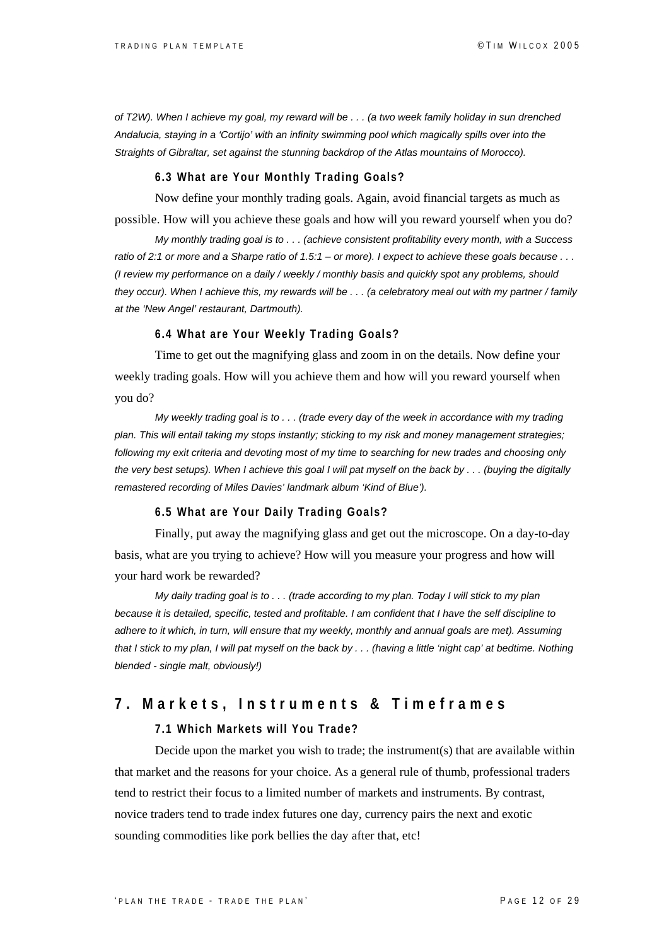*of T2W). When I achieve my goal, my reward will be . . . (a two week family holiday in sun drenched Andalucia, staying in a 'Cortijo' with an infinity swimming pool which magically spills over into the Straights of Gibraltar, set against the stunning backdrop of the Atlas mountains of Morocco).* 

#### **6.3 What are Your Monthly Trading Goals?**

Now define your monthly trading goals. Again, avoid financial targets as much as

possible. How will you achieve these goals and how will you reward yourself when you do?

*My monthly trading goal is to . . . (achieve consistent profitability every month, with a Success ratio of 2:1 or more and a Sharpe ratio of 1.5:1 – or more). I expect to achieve these goals because . . . (I review my performance on a daily / weekly / monthly basis and quickly spot any problems, should they occur). When I achieve this, my rewards will be . . . (a celebratory meal out with my partner / family at the 'New Angel' restaurant, Dartmouth).* 

#### **6.4 What are Your Weekly Trading Goals?**

Time to get out the magnifying glass and zoom in on the details. Now define your weekly trading goals. How will you achieve them and how will you reward yourself when you do?

*My weekly trading goal is to . . . (trade every day of the week in accordance with my trading plan. This will entail taking my stops instantly; sticking to my risk and money management strategies; following my exit criteria and devoting most of my time to searching for new trades and choosing only the very best setups). When I achieve this goal I will pat myself on the back by . . . (buying the digitally remastered recording of Miles Davies' landmark album 'Kind of Blue').* 

#### **6.5 What are Your Daily Trading Goals?**

Finally, put away the magnifying glass and get out the microscope. On a day-to-day basis, what are you trying to achieve? How will you measure your progress and how will your hard work be rewarded?

*My daily trading goal is to . . . (trade according to my plan. Today I will stick to my plan because it is detailed, specific, tested and profitable. I am confident that I have the self discipline to adhere to it which, in turn, will ensure that my weekly, monthly and annual goals are met). Assuming that I stick to my plan, I will pat myself on the back by . . . (having a little 'night cap' at bedtime. Nothing blended - single malt, obviously!)* 

## **7. Markets, Instruments & Timeframes**

#### **7.1 Which Markets will You Trade?**

Decide upon the market you wish to trade; the instrument(s) that are available within that market and the reasons for your choice. As a general rule of thumb, professional traders tend to restrict their focus to a limited number of markets and instruments. By contrast, novice traders tend to trade index futures one day, currency pairs the next and exotic sounding commodities like pork bellies the day after that, etc!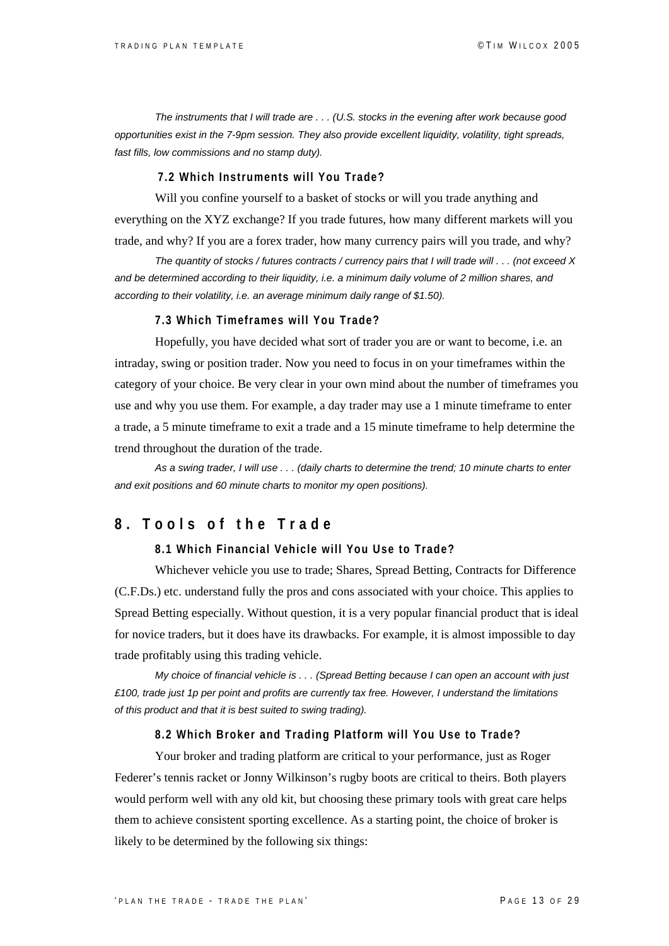*The instruments that I will trade are . . . (U.S. stocks in the evening after work because good opportunities exist in the 7-9pm session. They also provide excellent liquidity, volatility, tight spreads, fast fills, low commissions and no stamp duty).* 

#### **7.2 Which Instruments will You Trade?**

Will you confine yourself to a basket of stocks or will you trade anything and everything on the XYZ exchange? If you trade futures, how many different markets will you trade, and why? If you are a forex trader, how many currency pairs will you trade, and why?

*The quantity of stocks / futures contracts / currency pairs that I will trade will . . . (not exceed X and be determined according to their liquidity, i.e. a minimum daily volume of 2 million shares, and according to their volatility, i.e. an average minimum daily range of \$1.50).*

#### **7.3 Which Timeframes will You Trade?**

Hopefully, you have decided what sort of trader you are or want to become, i.e. an intraday, swing or position trader. Now you need to focus in on your timeframes within the category of your choice. Be very clear in your own mind about the number of timeframes you use and why you use them. For example, a day trader may use a 1 minute timeframe to enter a trade, a 5 minute timeframe to exit a trade and a 15 minute timeframe to help determine the trend throughout the duration of the trade.

*As a swing trader, I will use . . . (daily charts to determine the trend; 10 minute charts to enter and exit positions and 60 minute charts to monitor my open positions).* 

## **8. Tools of the Trade**

#### **8.1 Which Financial Vehicle will You Use to Trade?**

Whichever vehicle you use to trade; Shares, Spread Betting, Contracts for Difference (C.F.Ds.) etc. understand fully the pros and cons associated with your choice. This applies to Spread Betting especially. Without question, it is a very popular financial product that is ideal for novice traders, but it does have its drawbacks. For example, it is almost impossible to day trade profitably using this trading vehicle.

*My choice of financial vehicle is . . . (Spread Betting because I can open an account with just £100, trade just 1p per point and profits are currently tax free. However, I understand the limitations of this product and that it is best suited to swing trading).*

#### **8.2 Which Broker and Trading Platform will You Use to Trade?**

Your broker and trading platform are critical to your performance, just as Roger Federer's tennis racket or Jonny Wilkinson's rugby boots are critical to theirs. Both players would perform well with any old kit, but choosing these primary tools with great care helps them to achieve consistent sporting excellence. As a starting point, the choice of broker is likely to be determined by the following six things: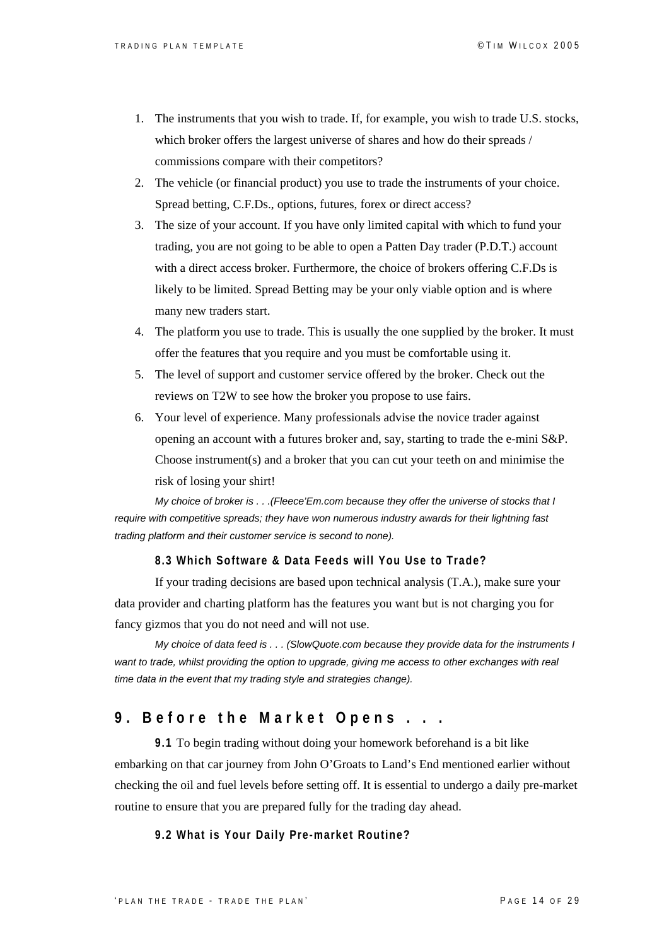- 1. The instruments that you wish to trade. If, for example, you wish to trade U.S. stocks, which broker offers the largest universe of shares and how do their spreads / commissions compare with their competitors?
- 2. The vehicle (or financial product) you use to trade the instruments of your choice. Spread betting, C.F.Ds., options, futures, forex or direct access?
- 3. The size of your account. If you have only limited capital with which to fund your trading, you are not going to be able to open a Patten Day trader (P.D.T.) account with a direct access broker. Furthermore, the choice of brokers offering C.F.Ds is likely to be limited. Spread Betting may be your only viable option and is where many new traders start.
- 4. The platform you use to trade. This is usually the one supplied by the broker. It must offer the features that you require and you must be comfortable using it.
- 5. The level of support and customer service offered by the broker. Check out the reviews on T2W to see how the broker you propose to use fairs.
- 6. Your level of experience. Many professionals advise the novice trader against opening an account with a futures broker and, say, starting to trade the e-mini S&P. Choose instrument(s) and a broker that you can cut your teeth on and minimise the risk of losing your shirt!

*My choice of broker is . . .(Fleece'Em.com because they offer the universe of stocks that I require with competitive spreads; they have won numerous industry awards for their lightning fast trading platform and their customer service is second to none).* 

#### **8.3 Which Software & Data Feeds will You Use to Trade?**

If your trading decisions are based upon technical analysis (T.A.), make sure your data provider and charting platform has the features you want but is not charging you for fancy gizmos that you do not need and will not use.

*My choice of data feed is . . . (SlowQuote.com because they provide data for the instruments I*  want to trade, whilst providing the option to upgrade, giving me access to other exchanges with real *time data in the event that my trading style and strategies change).* 

## **9. Before the Market Opens . . .**

**9.1** To begin trading without doing your homework beforehand is a bit like embarking on that car journey from John O'Groats to Land's End mentioned earlier without checking the oil and fuel levels before setting off. It is essential to undergo a daily pre-market routine to ensure that you are prepared fully for the trading day ahead.

#### **9.2 What is Your Daily Pre-market Routine?**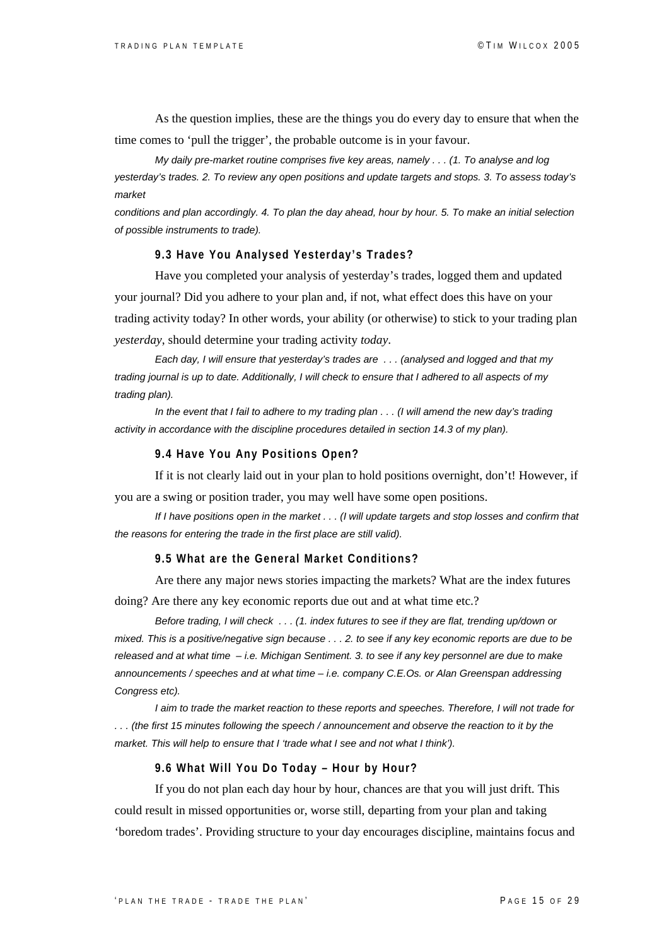As the question implies, these are the things you do every day to ensure that when the time comes to 'pull the trigger', the probable outcome is in your favour.

*My daily pre-market routine comprises five key areas, namely . . . (1. To analyse and log yesterday's trades. 2. To review any open positions and update targets and stops. 3. To assess today's market* 

*conditions and plan accordingly. 4. To plan the day ahead, hour by hour. 5. To make an initial selection of possible instruments to trade).*

#### **9.3 Have You Analysed Yesterday's Trades?**

Have you completed your analysis of yesterday's trades, logged them and updated your journal? Did you adhere to your plan and, if not, what effect does this have on your trading activity today? In other words, your ability (or otherwise) to stick to your trading plan *yesterday*, should determine your trading activity *today*.

*Each day, I will ensure that yesterday's trades are . . . (analysed and logged and that my trading journal is up to date. Additionally, I will check to ensure that I adhered to all aspects of my trading plan).* 

 *In the event that I fail to adhere to my trading plan . . . (I will amend the new day's trading activity in accordance with the discipline procedures detailed in section 14.3 of my plan).* 

#### **9.4 Have You Any Positions Open?**

If it is not clearly laid out in your plan to hold positions overnight, don't! However, if you are a swing or position trader, you may well have some open positions.

*If I have positions open in the market . . . (I will update targets and stop losses and confirm that the reasons for entering the trade in the first place are still valid).*

#### **9.5 What are the General Market Conditions?**

Are there any major news stories impacting the markets? What are the index futures

doing? Are there any key economic reports due out and at what time etc.?

*Before trading, I will check . . . (1. index futures to see if they are flat, trending up/down or mixed. This is a positive/negative sign because . . . 2. to see if any key economic reports are due to be released and at what time – i.e. Michigan Sentiment. 3. to see if any key personnel are due to make announcements / speeches and at what time – i.e. company C.E.Os. or Alan Greenspan addressing Congress etc).* 

*I aim to trade the market reaction to these reports and speeches. Therefore, I will not trade for . . . (the first 15 minutes following the speech / announcement and observe the reaction to it by the market. This will help to ensure that I 'trade what I see and not what I think').* 

#### **9.6 What Will You Do Today – Hour by Hour?**

If you do not plan each day hour by hour, chances are that you will just drift. This could result in missed opportunities or, worse still, departing from your plan and taking 'boredom trades'. Providing structure to your day encourages discipline, maintains focus and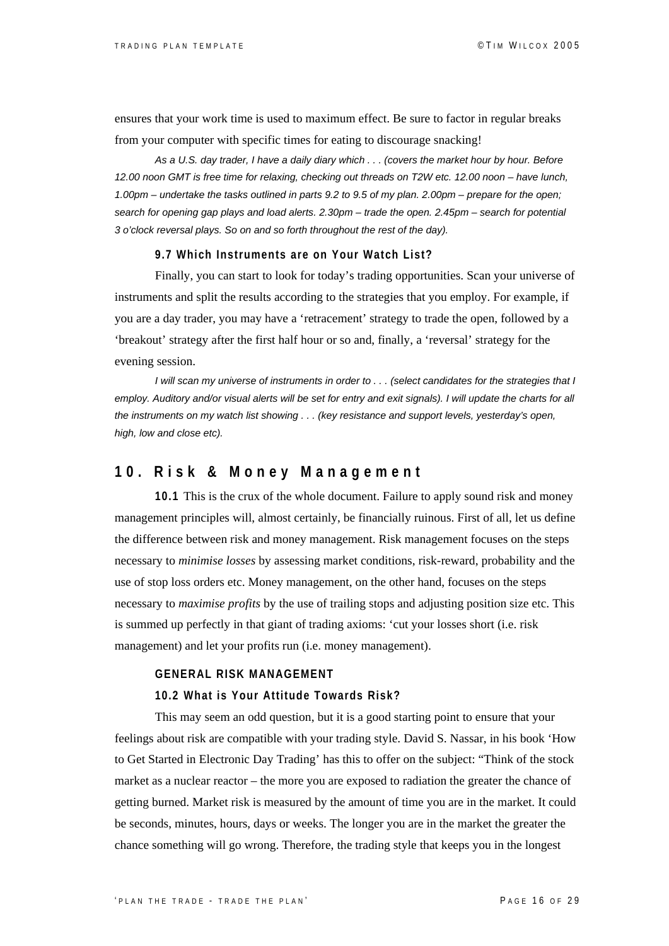ensures that your work time is used to maximum effect. Be sure to factor in regular breaks from your computer with specific times for eating to discourage snacking!

*As a U.S. day trader, I have a daily diary which . . . (covers the market hour by hour. Before 12.00 noon GMT is free time for relaxing, checking out threads on T2W etc. 12.00 noon – have lunch, 1.00pm – undertake the tasks outlined in parts 9.2 to 9.5 of my plan. 2.00pm – prepare for the open; search for opening gap plays and load alerts. 2.30pm – trade the open. 2.45pm – search for potential 3 o'clock reversal plays. So on and so forth throughout the rest of the day).*

#### **9.7 Which Instruments are on Your Watch List?**

Finally, you can start to look for today's trading opportunities. Scan your universe of instruments and split the results according to the strategies that you employ. For example, if you are a day trader, you may have a 'retracement' strategy to trade the open, followed by a 'breakout' strategy after the first half hour or so and, finally, a 'reversal' strategy for the evening session.

*I will scan my universe of instruments in order to . . . (select candidates for the strategies that I employ. Auditory and/or visual alerts will be set for entry and exit signals). I will update the charts for all the instruments on my watch list showing . . . (key resistance and support levels, yesterday's open, high, low and close etc).* 

### **10. Risk & Money Management**

**10.1** This is the crux of the whole document. Failure to apply sound risk and money management principles will, almost certainly, be financially ruinous. First of all, let us define the difference between risk and money management. Risk management focuses on the steps necessary to *minimise losses* by assessing market conditions, risk-reward, probability and the use of stop loss orders etc. Money management, on the other hand, focuses on the steps necessary to *maximise profits* by the use of trailing stops and adjusting position size etc. This is summed up perfectly in that giant of trading axioms: 'cut your losses short (i.e. risk management) and let your profits run (i.e. money management).

#### **GENERAL RISK MANAGEMENT**

#### **10.2 What is Your Attitude Towards Risk?**

This may seem an odd question, but it is a good starting point to ensure that your feelings about risk are compatible with your trading style. David S. Nassar, in his book 'How to Get Started in Electronic Day Trading' has this to offer on the subject: "Think of the stock market as a nuclear reactor – the more you are exposed to radiation the greater the chance of getting burned. Market risk is measured by the amount of time you are in the market. It could be seconds, minutes, hours, days or weeks. The longer you are in the market the greater the chance something will go wrong. Therefore, the trading style that keeps you in the longest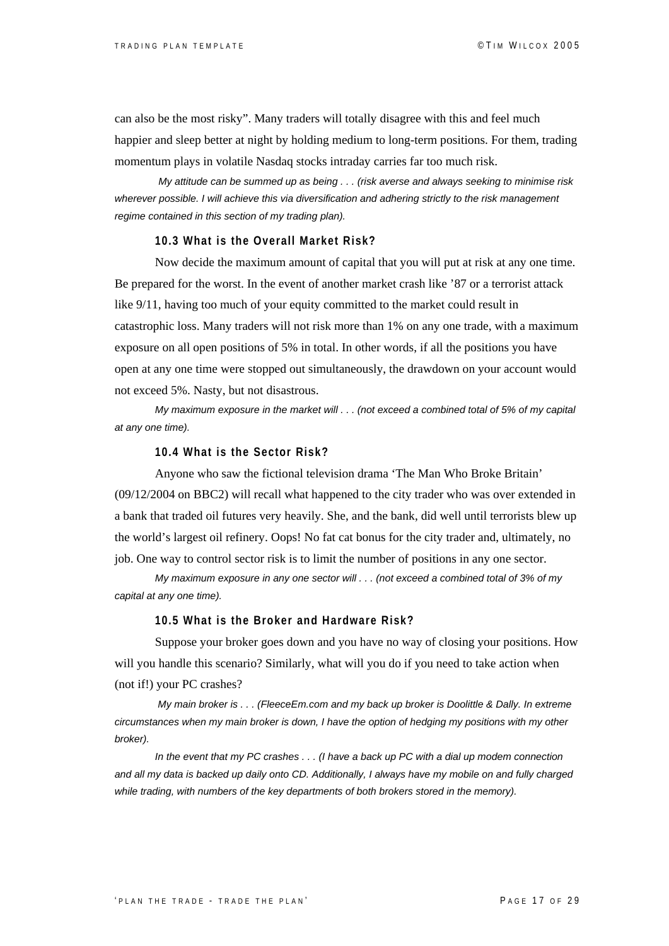can also be the most risky". Many traders will totally disagree with this and feel much happier and sleep better at night by holding medium to long-term positions. For them, trading momentum plays in volatile Nasdaq stocks intraday carries far too much risk.

*My attitude can be summed up as being . . . (risk averse and always seeking to minimise risk wherever possible. I will achieve this via diversification and adhering strictly to the risk management regime contained in this section of my trading plan).*

#### **10.3 What is the Overall Market Risk?**

Now decide the maximum amount of capital that you will put at risk at any one time. Be prepared for the worst. In the event of another market crash like '87 or a terrorist attack like 9/11, having too much of your equity committed to the market could result in catastrophic loss. Many traders will not risk more than 1% on any one trade, with a maximum exposure on all open positions of 5% in total. In other words, if all the positions you have open at any one time were stopped out simultaneously, the drawdown on your account would not exceed 5%. Nasty, but not disastrous.

*My maximum exposure in the market will . . . (not exceed a combined total of 5% of my capital at any one time).*

#### **10.4 What is the Sector Risk?**

Anyone who saw the fictional television drama 'The Man Who Broke Britain' (09/12/2004 on BBC2) will recall what happened to the city trader who was over extended in a bank that traded oil futures very heavily. She, and the bank, did well until terrorists blew up the world's largest oil refinery. Oops! No fat cat bonus for the city trader and, ultimately, no job. One way to control sector risk is to limit the number of positions in any one sector.

*My maximum exposure in any one sector will . . . (not exceed a combined total of 3% of my capital at any one time).*

#### **10.5 What is the Broker and Hardware Risk?**

Suppose your broker goes down and you have no way of closing your positions. How will you handle this scenario? Similarly, what will you do if you need to take action when (not if!) your PC crashes?

 *My main broker is . . . (FleeceEm.com and my back up broker is Doolittle & Dally. In extreme circumstances when my main broker is down, I have the option of hedging my positions with my other broker).* 

*In the event that my PC crashes . . . (I have a back up PC with a dial up modem connection and all my data is backed up daily onto CD. Additionally, I always have my mobile on and fully charged while trading, with numbers of the key departments of both brokers stored in the memory).*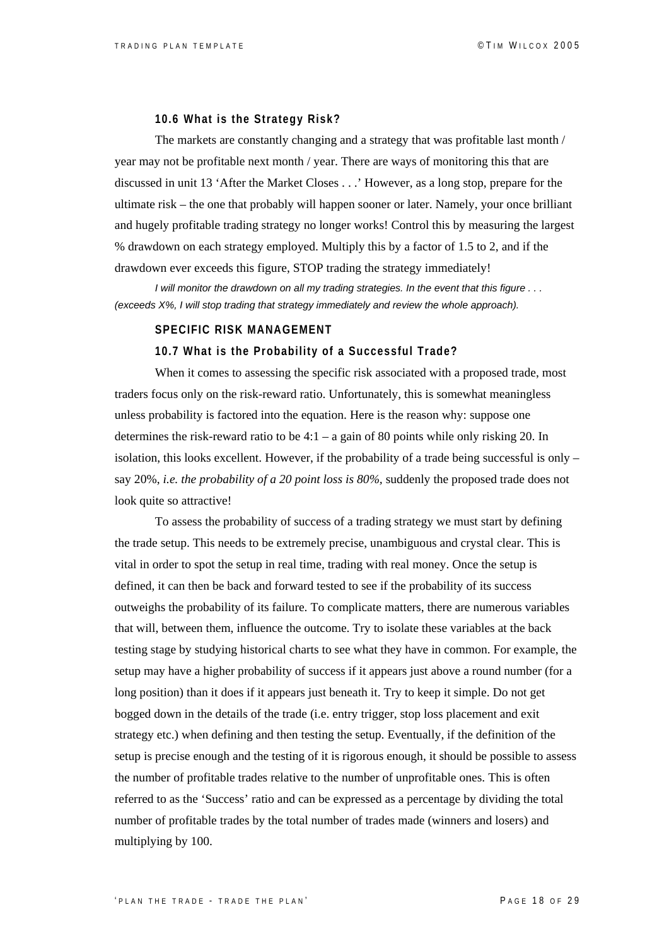#### **10.6 What is the Strategy Risk?**

The markets are constantly changing and a strategy that was profitable last month / year may not be profitable next month / year. There are ways of monitoring this that are discussed in unit 13 'After the Market Closes . . .' However, as a long stop, prepare for the ultimate risk – the one that probably will happen sooner or later. Namely, your once brilliant and hugely profitable trading strategy no longer works! Control this by measuring the largest % drawdown on each strategy employed. Multiply this by a factor of 1.5 to 2, and if the drawdown ever exceeds this figure, STOP trading the strategy immediately!

*I will monitor the drawdown on all my trading strategies. In the event that this figure . . . (exceeds X%, I will stop trading that strategy immediately and review the whole approach).*

#### **SPECIFIC RISK MANAGEMENT**

#### **10.7 What is the Probability of a Successful Trade?**

When it comes to assessing the specific risk associated with a proposed trade, most traders focus only on the risk-reward ratio. Unfortunately, this is somewhat meaningless unless probability is factored into the equation. Here is the reason why: suppose one determines the risk-reward ratio to be  $4:1 - a$  gain of 80 points while only risking 20. In isolation, this looks excellent. However, if the probability of a trade being successful is only  $$ say 20%, *i.e. the probability of a 20 point loss is 80%,* suddenly the proposed trade does not look quite so attractive!

To assess the probability of success of a trading strategy we must start by defining the trade setup. This needs to be extremely precise, unambiguous and crystal clear. This is vital in order to spot the setup in real time, trading with real money. Once the setup is defined, it can then be back and forward tested to see if the probability of its success outweighs the probability of its failure. To complicate matters, there are numerous variables that will, between them, influence the outcome. Try to isolate these variables at the back testing stage by studying historical charts to see what they have in common. For example, the setup may have a higher probability of success if it appears just above a round number (for a long position) than it does if it appears just beneath it. Try to keep it simple. Do not get bogged down in the details of the trade (i.e. entry trigger, stop loss placement and exit strategy etc.) when defining and then testing the setup. Eventually, if the definition of the setup is precise enough and the testing of it is rigorous enough, it should be possible to assess the number of profitable trades relative to the number of unprofitable ones. This is often referred to as the 'Success' ratio and can be expressed as a percentage by dividing the total number of profitable trades by the total number of trades made (winners and losers) and multiplying by 100.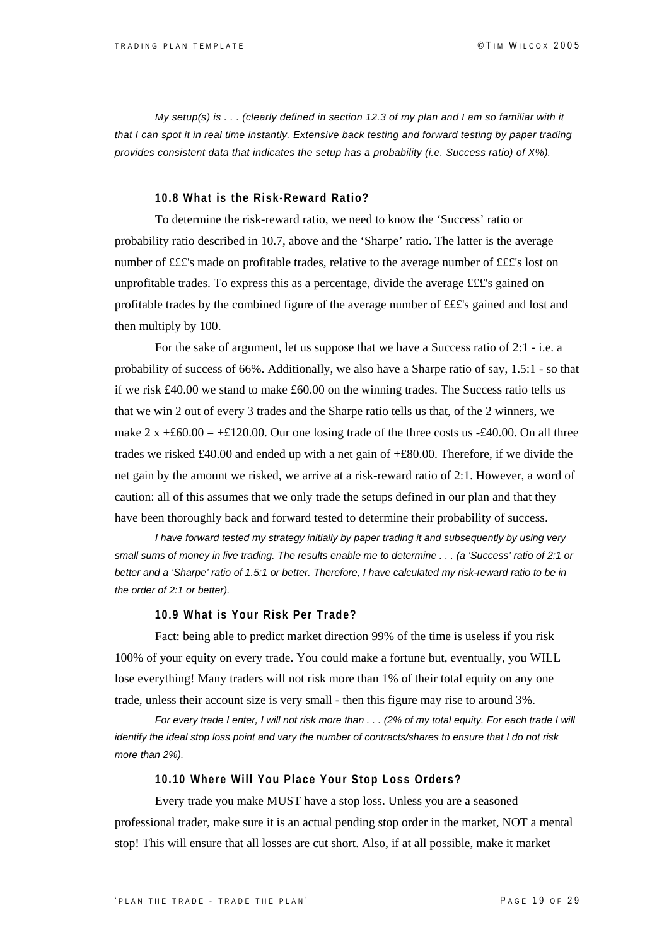*My setup(s) is . . . (clearly defined in section 12.3 of my plan and I am so familiar with it that I can spot it in real time instantly. Extensive back testing and forward testing by paper trading provides consistent data that indicates the setup has a probability (i.e. Success ratio) of X%).* 

#### **10.8 What is the Risk-Reward Ratio?**

To determine the risk-reward ratio, we need to know the 'Success' ratio or probability ratio described in 10.7, above and the 'Sharpe' ratio. The latter is the average number of £££'s made on profitable trades, relative to the average number of £££'s lost on unprofitable trades. To express this as a percentage, divide the average £££'s gained on profitable trades by the combined figure of the average number of £££'s gained and lost and then multiply by 100.

For the sake of argument, let us suppose that we have a Success ratio of 2:1 - i.e. a probability of success of 66%. Additionally, we also have a Sharpe ratio of say, 1.5:1 - so that if we risk £40.00 we stand to make £60.00 on the winning trades. The Success ratio tells us that we win 2 out of every 3 trades and the Sharpe ratio tells us that, of the 2 winners, we make  $2 \times +60.00 = +6120.00$ . Our one losing trade of the three costs us -£40.00. On all three trades we risked £40.00 and ended up with a net gain of  $\pm$ £80.00. Therefore, if we divide the net gain by the amount we risked, we arrive at a risk-reward ratio of 2:1. However, a word of caution: all of this assumes that we only trade the setups defined in our plan and that they have been thoroughly back and forward tested to determine their probability of success.

*I have forward tested my strategy initially by paper trading it and subsequently by using very small sums of money in live trading. The results enable me to determine . . . (a 'Success' ratio of 2:1 or better and a 'Sharpe' ratio of 1.5:1 or better. Therefore, I have calculated my risk-reward ratio to be in the order of 2:1 or better).* 

#### **10.9 What is Your Risk Per Trade?**

Fact: being able to predict market direction 99% of the time is useless if you risk 100% of your equity on every trade. You could make a fortune but, eventually, you WILL lose everything! Many traders will not risk more than 1% of their total equity on any one trade, unless their account size is very small - then this figure may rise to around 3%.

*For every trade I enter, I will not risk more than . . . (2% of my total equity. For each trade I will identify the ideal stop loss point and vary the number of contracts/shares to ensure that I do not risk more than 2%).*

#### **10.10 Where Will You Place Your Stop Loss Orders?**

Every trade you make MUST have a stop loss. Unless you are a seasoned professional trader, make sure it is an actual pending stop order in the market, NOT a mental stop! This will ensure that all losses are cut short. Also, if at all possible, make it market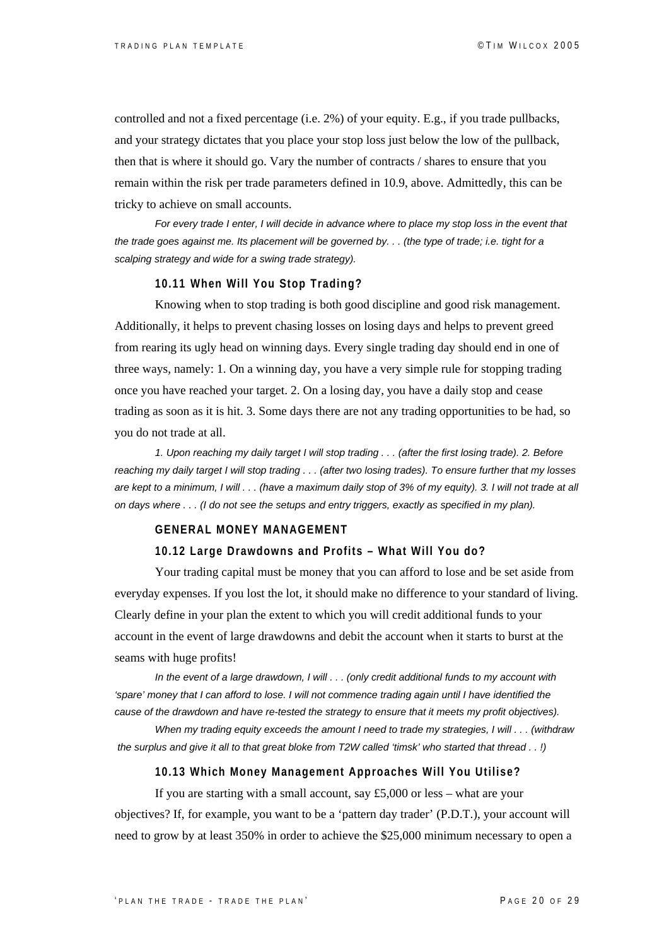controlled and not a fixed percentage (i.e. 2%) of your equity. E.g., if you trade pullbacks, and your strategy dictates that you place your stop loss just below the low of the pullback, then that is where it should go. Vary the number of contracts / shares to ensure that you remain within the risk per trade parameters defined in 10.9, above. Admittedly, this can be tricky to achieve on small accounts.

*For every trade I enter, I will decide in advance where to place my stop loss in the event that the trade goes against me. Its placement will be governed by. . . (the type of trade; i.e. tight for a scalping strategy and wide for a swing trade strategy).*

#### **10.11 When Will You Stop Trading?**

Knowing when to stop trading is both good discipline and good risk management. Additionally, it helps to prevent chasing losses on losing days and helps to prevent greed from rearing its ugly head on winning days. Every single trading day should end in one of three ways, namely: 1. On a winning day, you have a very simple rule for stopping trading once you have reached your target. 2. On a losing day, you have a daily stop and cease trading as soon as it is hit. 3. Some days there are not any trading opportunities to be had, so you do not trade at all.

*1. Upon reaching my daily target I will stop trading . . . (after the first losing trade). 2. Before reaching my daily target I will stop trading . . . (after two losing trades). To ensure further that my losses are kept to a minimum, I will . . . (have a maximum daily stop of 3% of my equity). 3. I will not trade at all on days where . . . (I do not see the setups and entry triggers, exactly as specified in my plan).* 

#### **GENERAL MONEY MANAGEMENT**

#### **10.12 Large Drawdowns and Profits – What Will You do?**

Your trading capital must be money that you can afford to lose and be set aside from everyday expenses. If you lost the lot, it should make no difference to your standard of living. Clearly define in your plan the extent to which you will credit additional funds to your account in the event of large drawdowns and debit the account when it starts to burst at the seams with huge profits!

*In the event of a large drawdown, I will . . . (only credit additional funds to my account with*  'spare' money that I can afford to lose. I will not commence trading again until I have identified the *cause of the drawdown and have re-tested the strategy to ensure that it meets my profit objectives).* 

*When my trading equity exceeds the amount I need to trade my strategies, I will . . . (withdraw the surplus and give it all to that great bloke from T2W called 'timsk' who started that thread . . !)*

#### **10.13 Which Money Management Approaches Will You Utilise?**

If you are starting with a small account, say £5,000 or less – what are your objectives? If, for example, you want to be a 'pattern day trader' (P.D.T.), your account will need to grow by at least 350% in order to achieve the \$25,000 minimum necessary to open a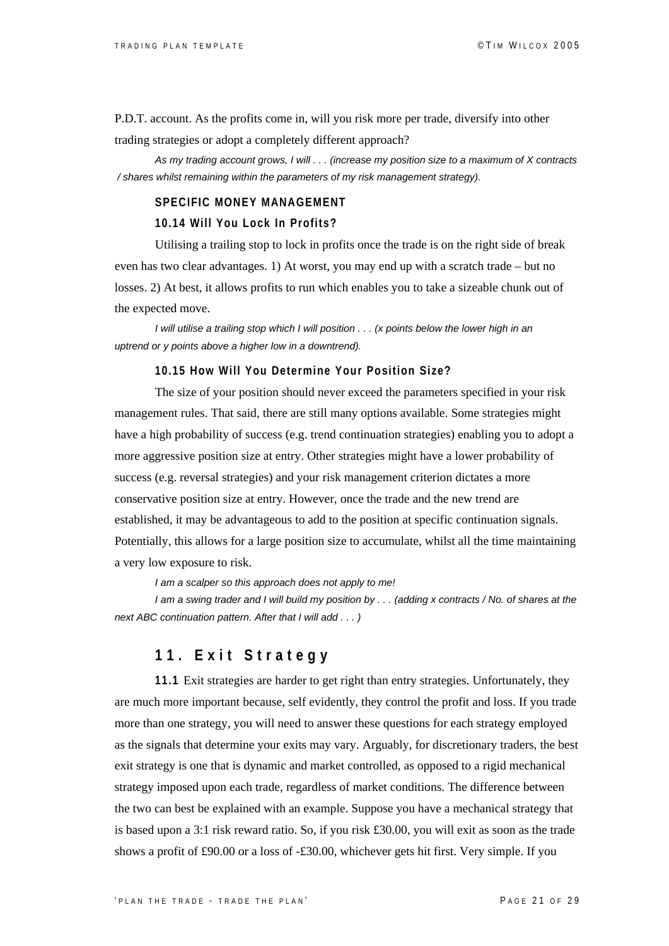P.D.T. account. As the profits come in, will you risk more per trade, diversify into other trading strategies or adopt a completely different approach?

*As my trading account grows, I will . . . (increase my position size to a maximum of X contracts / shares whilst remaining within the parameters of my risk management strategy).*

#### **SPECIFIC MONEY MANAGEMENT**

#### **10.14 Will You Lock In Profits?**

Utilising a trailing stop to lock in profits once the trade is on the right side of break even has two clear advantages. 1) At worst, you may end up with a scratch trade – but no losses. 2) At best, it allows profits to run which enables you to take a sizeable chunk out of the expected move.

*I* will utilise a trailing stop which *I* will position . . . (x points below the lower high in an *uptrend or y points above a higher low in a downtrend).* 

#### **10.15 How Will You Determine Your Position Size?**

The size of your position should never exceed the parameters specified in your risk management rules. That said, there are still many options available. Some strategies might have a high probability of success (e.g. trend continuation strategies) enabling you to adopt a more aggressive position size at entry. Other strategies might have a lower probability of success (e.g. reversal strategies) and your risk management criterion dictates a more conservative position size at entry. However, once the trade and the new trend are established, it may be advantageous to add to the position at specific continuation signals. Potentially, this allows for a large position size to accumulate, whilst all the time maintaining a very low exposure to risk.

 *I am a scalper so this approach does not apply to me!* 

 *I am a swing trader and I will build my position by . . . (adding x contracts / No. of shares at the next ABC continuation pattern. After that I will add . . . )* 

## **11. Exit Strategy**

**11.1** Exit strategies are harder to get right than entry strategies. Unfortunately, they are much more important because, self evidently, they control the profit and loss. If you trade more than one strategy, you will need to answer these questions for each strategy employed as the signals that determine your exits may vary. Arguably, for discretionary traders, the best exit strategy is one that is dynamic and market controlled, as opposed to a rigid mechanical strategy imposed upon each trade, regardless of market conditions. The difference between the two can best be explained with an example. Suppose you have a mechanical strategy that is based upon a 3:1 risk reward ratio. So, if you risk £30.00, you will exit as soon as the trade shows a profit of £90.00 or a loss of -£30.00, whichever gets hit first. Very simple. If you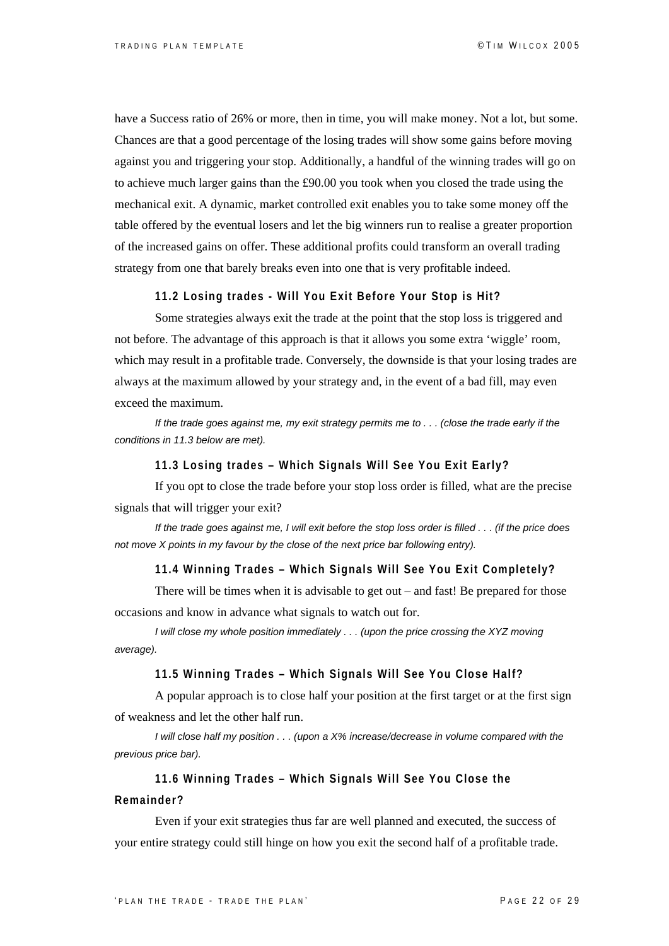have a Success ratio of 26% or more, then in time, you will make money. Not a lot, but some. Chances are that a good percentage of the losing trades will show some gains before moving against you and triggering your stop. Additionally, a handful of the winning trades will go on to achieve much larger gains than the £90.00 you took when you closed the trade using the mechanical exit. A dynamic, market controlled exit enables you to take some money off the table offered by the eventual losers and let the big winners run to realise a greater proportion of the increased gains on offer. These additional profits could transform an overall trading strategy from one that barely breaks even into one that is very profitable indeed.

**11.2 Losing trades - Will You Exit Before Your Stop is Hit?** 

Some strategies always exit the trade at the point that the stop loss is triggered and not before. The advantage of this approach is that it allows you some extra 'wiggle' room, which may result in a profitable trade. Conversely, the downside is that your losing trades are always at the maximum allowed by your strategy and, in the event of a bad fill, may even exceed the maximum.

*If the trade goes against me, my exit strategy permits me to . . . (close the trade early if the conditions in 11.3 below are met).* 

#### **11.3 Losing trades – Which Signals Will See You Exit Early?**

If you opt to close the trade before your stop loss order is filled, what are the precise signals that will trigger your exit?

*If the trade goes against me, I will exit before the stop loss order is filled . . . (if the price does not move X points in my favour by the close of the next price bar following entry).* 

#### **11.4 Winning Trades – Which Signals Will See You Exit Completely?**

There will be times when it is advisable to get out – and fast! Be prepared for those occasions and know in advance what signals to watch out for.

*I will close my whole position immediately . . . (upon the price crossing the XYZ moving average).* 

#### **11.5 Winning Trades – Which Signals Will See You Close Half?**

A popular approach is to close half your position at the first target or at the first sign of weakness and let the other half run.

*I will close half my position . . . (upon a X% increase/decrease in volume compared with the previous price bar).*

 **11.6 Winning Trades – Which Signals Will See You Close the Remainder?** 

Even if your exit strategies thus far are well planned and executed, the success of your entire strategy could still hinge on how you exit the second half of a profitable trade.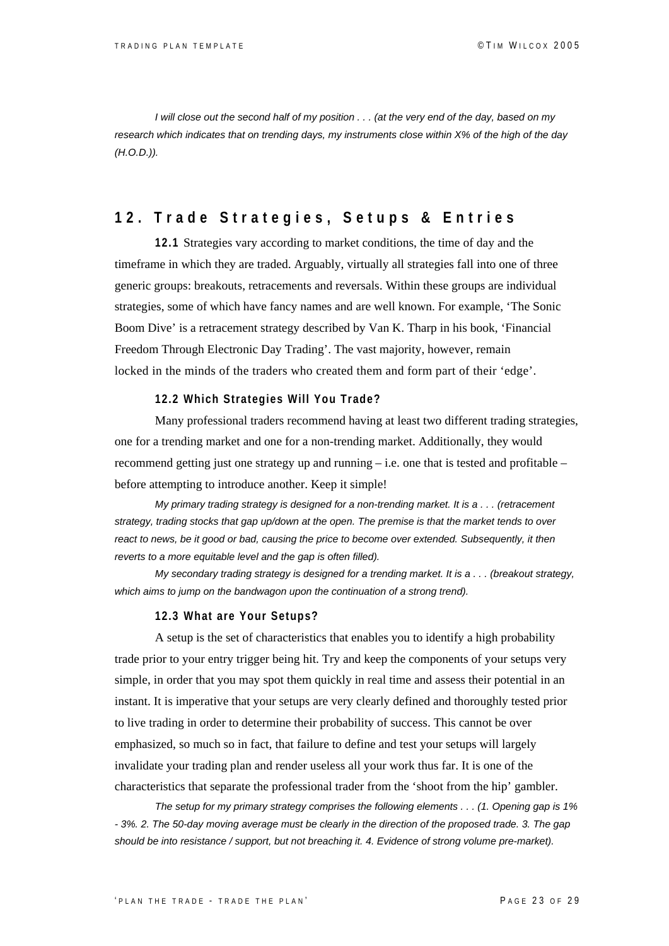*I will close out the second half of my position . . . (at the very end of the day, based on my research which indicates that on trending days, my instruments close within X% of the high of the day (H.O.D.)).* 

## **12. Trade Strategies, Setups & Entries**

**12.1** Strategies vary according to market conditions, the time of day and the timeframe in which they are traded. Arguably, virtually all strategies fall into one of three generic groups: breakouts, retracements and reversals. Within these groups are individual strategies, some of which have fancy names and are well known. For example, 'The Sonic Boom Dive' is a retracement strategy described by Van K. Tharp in his book, 'Financial Freedom Through Electronic Day Trading'. The vast majority, however, remain locked in the minds of the traders who created them and form part of their 'edge'.

#### **12.2 Which Strategies Will You Trade?**

Many professional traders recommend having at least two different trading strategies, one for a trending market and one for a non-trending market. Additionally, they would recommend getting just one strategy up and running – i.e. one that is tested and profitable – before attempting to introduce another. Keep it simple!

*My primary trading strategy is designed for a non-trending market. It is a . . . (retracement strategy, trading stocks that gap up/down at the open. The premise is that the market tends to over react to news, be it good or bad, causing the price to become over extended. Subsequently, it then reverts to a more equitable level and the gap is often filled).* 

*My secondary trading strategy is designed for a trending market. It is a . . . (breakout strategy,*  which aims to jump on the bandwagon upon the continuation of a strong trend).

#### **12.3 What are Your Setups?**

A setup is the set of characteristics that enables you to identify a high probability trade prior to your entry trigger being hit. Try and keep the components of your setups very simple, in order that you may spot them quickly in real time and assess their potential in an instant. It is imperative that your setups are very clearly defined and thoroughly tested prior to live trading in order to determine their probability of success. This cannot be over emphasized, so much so in fact, that failure to define and test your setups will largely invalidate your trading plan and render useless all your work thus far. It is one of the characteristics that separate the professional trader from the 'shoot from the hip' gambler.

*The setup for my primary strategy comprises the following elements . . . (1. Opening gap is 1% - 3%. 2. The 50-day moving average must be clearly in the direction of the proposed trade. 3. The gap should be into resistance / support, but not breaching it. 4. Evidence of strong volume pre-market).*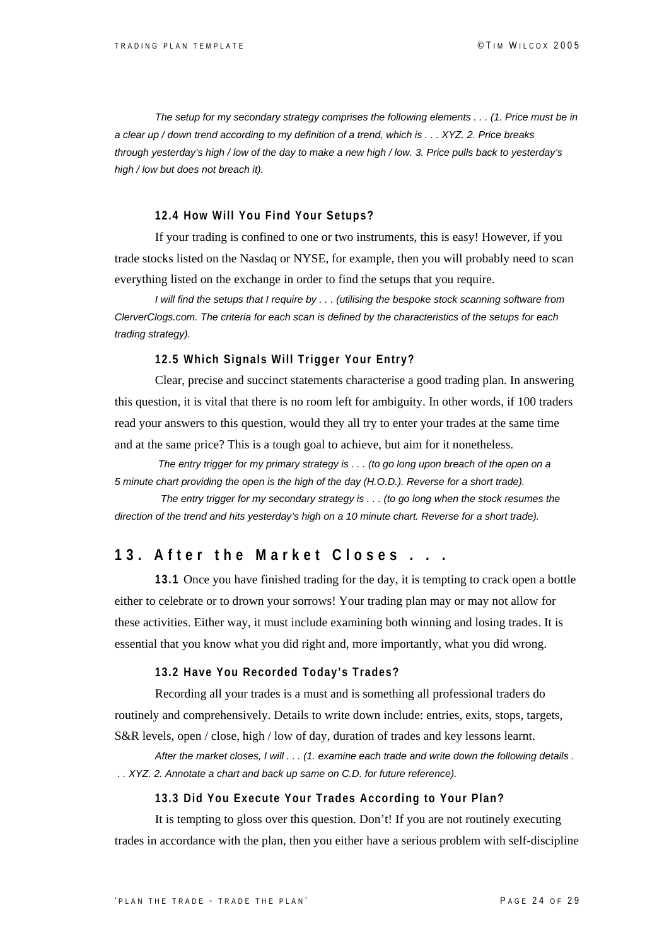*The setup for my secondary strategy comprises the following elements . . . (1. Price must be in a clear up / down trend according to my definition of a trend, which is . . . XYZ. 2. Price breaks through yesterday's high / low of the day to make a new high / low. 3. Price pulls back to yesterday's high / low but does not breach it).*

#### **12.4 How Will You Find Your Setups?**

If your trading is confined to one or two instruments, this is easy! However, if you trade stocks listed on the Nasdaq or NYSE, for example, then you will probably need to scan everything listed on the exchange in order to find the setups that you require.

*I will find the setups that I require by . . . (utilising the bespoke stock scanning software from ClerverClogs.com. The criteria for each scan is defined by the characteristics of the setups for each trading strategy).* 

#### **12.5 Which Signals Will Trigger Your Entry?**

Clear, precise and succinct statements characterise a good trading plan. In answering this question, it is vital that there is no room left for ambiguity. In other words, if 100 traders read your answers to this question, would they all try to enter your trades at the same time and at the same price? This is a tough goal to achieve, but aim for it nonetheless.

*The entry trigger for my primary strategy is . . . (to go long upon breach of the open on a 5 minute chart providing the open is the high of the day (H.O.D.). Reverse for a short trade).* 

 *The entry trigger for my secondary strategy is . . . (to go long when the stock resumes the direction of the trend and hits yesterday's high on a 10 minute chart. Reverse for a short trade).*

### **13. After the Market Closes . . .**

**13.1** Once you have finished trading for the day, it is tempting to crack open a bottle either to celebrate or to drown your sorrows! Your trading plan may or may not allow for these activities. Either way, it must include examining both winning and losing trades. It is essential that you know what you did right and, more importantly, what you did wrong.

#### **13.2 Have You Recorded Today's Trades?**

Recording all your trades is a must and is something all professional traders do routinely and comprehensively. Details to write down include: entries, exits, stops, targets, S&R levels, open / close, high / low of day, duration of trades and key lessons learnt.

*After the market closes, I will . . . (1. examine each trade and write down the following details . . . XYZ. 2. Annotate a chart and back up same on C.D. for future reference).*

#### **13.3 Did You Execute Your Trades According to Your Plan?**

It is tempting to gloss over this question. Don't! If you are not routinely executing trades in accordance with the plan, then you either have a serious problem with self-discipline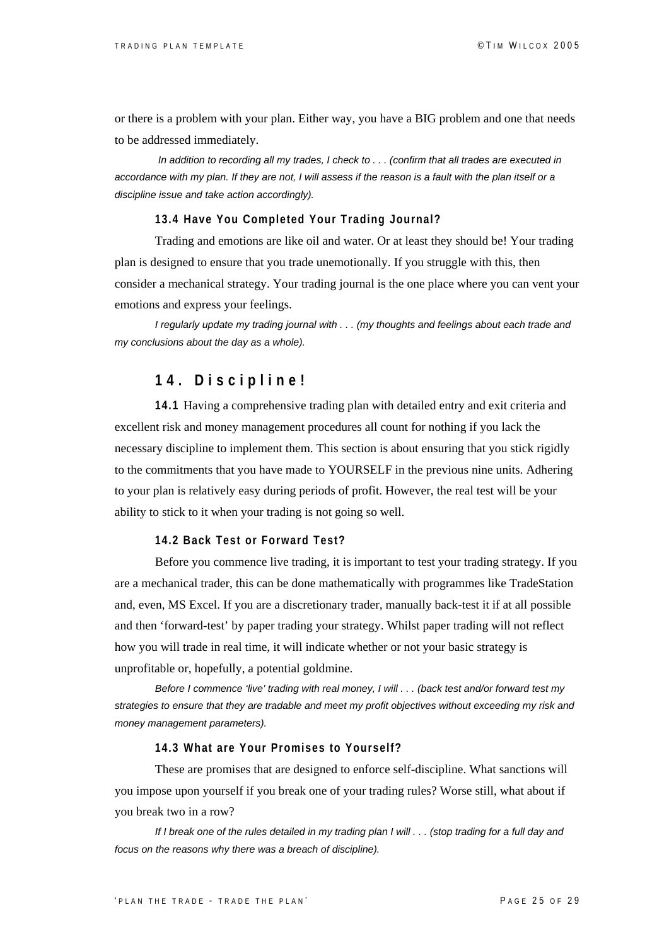or there is a problem with your plan. Either way, you have a BIG problem and one that needs to be addressed immediately.

*In addition to recording all my trades, I check to . . . (confirm that all trades are executed in accordance with my plan. If they are not, I will assess if the reason is a fault with the plan itself or a discipline issue and take action accordingly).*

#### **13.4 Have You Completed Your Trading Journal?**

Trading and emotions are like oil and water. Or at least they should be! Your trading plan is designed to ensure that you trade unemotionally. If you struggle with this, then consider a mechanical strategy. Your trading journal is the one place where you can vent your emotions and express your feelings.

*I regularly update my trading journal with . . . (my thoughts and feelings about each trade and my conclusions about the day as a whole).* 

## **14. Discipline!**

**14.1** Having a comprehensive trading plan with detailed entry and exit criteria and excellent risk and money management procedures all count for nothing if you lack the necessary discipline to implement them. This section is about ensuring that you stick rigidly to the commitments that you have made to YOURSELF in the previous nine units. Adhering to your plan is relatively easy during periods of profit. However, the real test will be your ability to stick to it when your trading is not going so well.

#### **14.2 Back Test or Forward Test?**

Before you commence live trading, it is important to test your trading strategy. If you are a mechanical trader, this can be done mathematically with programmes like TradeStation and, even, MS Excel. If you are a discretionary trader, manually back-test it if at all possible and then 'forward-test' by paper trading your strategy. Whilst paper trading will not reflect how you will trade in real time, it will indicate whether or not your basic strategy is unprofitable or, hopefully, a potential goldmine.

*Before I commence 'live' trading with real money, I will . . . (back test and/or forward test my strategies to ensure that they are tradable and meet my profit objectives without exceeding my risk and money management parameters).*

#### **14.3 What are Your Promises to Yourself?**

These are promises that are designed to enforce self-discipline. What sanctions will you impose upon yourself if you break one of your trading rules? Worse still, what about if you break two in a row?

*If I break one of the rules detailed in my trading plan I will . . . (stop trading for a full day and focus on the reasons why there was a breach of discipline).*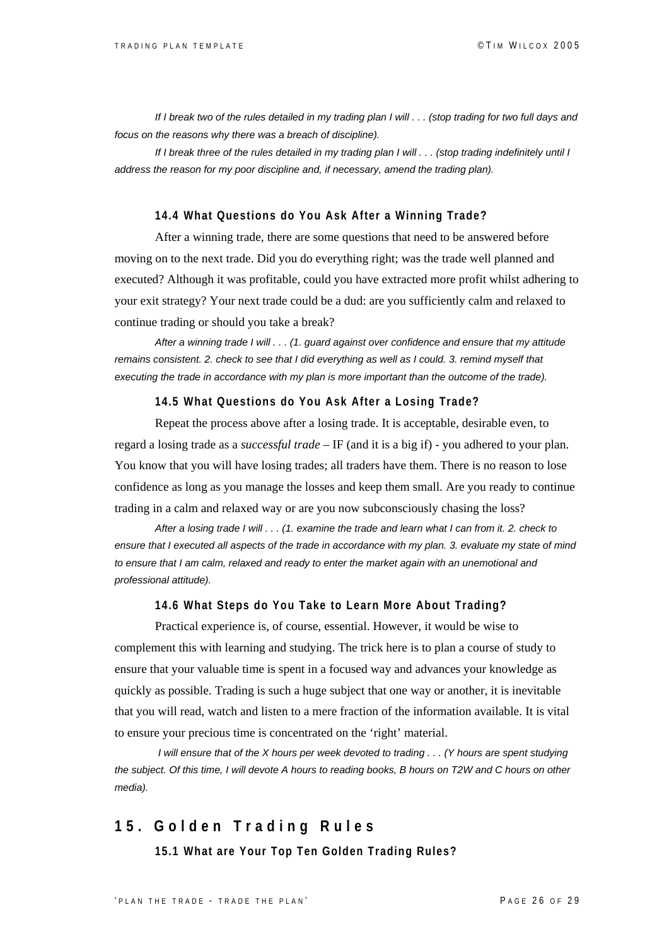*If I break two of the rules detailed in my trading plan I will . . . (stop trading for two full days and focus on the reasons why there was a breach of discipline).* 

*If I break three of the rules detailed in my trading plan I will . . . (stop trading indefinitely until I address the reason for my poor discipline and, if necessary, amend the trading plan).*

#### **14.4 What Questions do You Ask After a Winning Trade?**

After a winning trade, there are some questions that need to be answered before moving on to the next trade. Did you do everything right; was the trade well planned and executed? Although it was profitable, could you have extracted more profit whilst adhering to your exit strategy? Your next trade could be a dud: are you sufficiently calm and relaxed to continue trading or should you take a break?

*After a winning trade I will . . . (1. guard against over confidence and ensure that my attitude remains consistent. 2. check to see that I did everything as well as I could. 3. remind myself that executing the trade in accordance with my plan is more important than the outcome of the trade).* 

#### **14.5 What Questions do You Ask After a Losing Trade?**

Repeat the process above after a losing trade. It is acceptable, desirable even, to regard a losing trade as a *successful trade* – IF (and it is a big if) - you adhered to your plan. You know that you will have losing trades; all traders have them. There is no reason to lose confidence as long as you manage the losses and keep them small. Are you ready to continue trading in a calm and relaxed way or are you now subconsciously chasing the loss?

*After a losing trade I will . . . (1. examine the trade and learn what I can from it. 2. check to ensure that I executed all aspects of the trade in accordance with my plan. 3. evaluate my state of mind to ensure that I am calm, relaxed and ready to enter the market again with an unemotional and professional attitude).* 

#### **14.6 What Steps do You Take to Learn More About Trading?**

Practical experience is, of course, essential. However, it would be wise to complement this with learning and studying. The trick here is to plan a course of study to ensure that your valuable time is spent in a focused way and advances your knowledge as quickly as possible. Trading is such a huge subject that one way or another, it is inevitable that you will read, watch and listen to a mere fraction of the information available. It is vital to ensure your precious time is concentrated on the 'right' material.

*I will ensure that of the X hours per week devoted to trading . . . (Y hours are spent studying the subject. Of this time, I will devote A hours to reading books, B hours on T2W and C hours on other media).* 

## **15. Golden Trading Rules**

**15.1 What are Your Top Ten Golden Trading Rules?**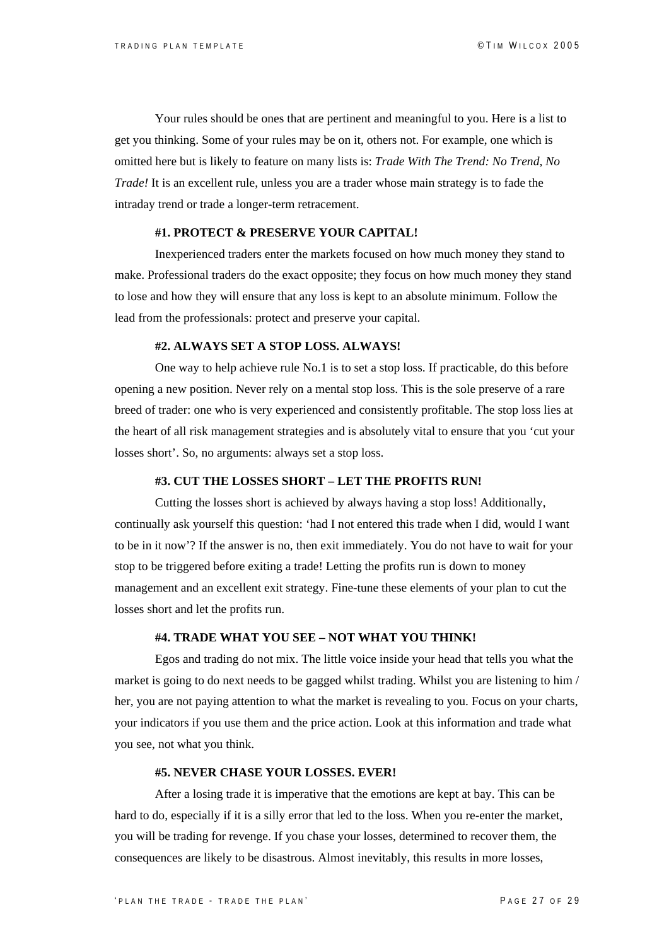Your rules should be ones that are pertinent and meaningful to you. Here is a list to get you thinking. Some of your rules may be on it, others not. For example, one which is omitted here but is likely to feature on many lists is: *Trade With The Trend: No Trend, No Trade!* It is an excellent rule, unless you are a trader whose main strategy is to fade the intraday trend or trade a longer-term retracement.

#### **#1. PROTECT & PRESERVE YOUR CAPITAL!**

Inexperienced traders enter the markets focused on how much money they stand to make. Professional traders do the exact opposite; they focus on how much money they stand to lose and how they will ensure that any loss is kept to an absolute minimum. Follow the lead from the professionals: protect and preserve your capital.

#### **#2. ALWAYS SET A STOP LOSS. ALWAYS!**

One way to help achieve rule No.1 is to set a stop loss. If practicable, do this before opening a new position. Never rely on a mental stop loss. This is the sole preserve of a rare breed of trader: one who is very experienced and consistently profitable. The stop loss lies at the heart of all risk management strategies and is absolutely vital to ensure that you 'cut your losses short'. So, no arguments: always set a stop loss.

#### **#3. CUT THE LOSSES SHORT – LET THE PROFITS RUN!**

Cutting the losses short is achieved by always having a stop loss! Additionally, continually ask yourself this question: 'had I not entered this trade when I did, would I want to be in it now'? If the answer is no, then exit immediately. You do not have to wait for your stop to be triggered before exiting a trade! Letting the profits run is down to money management and an excellent exit strategy. Fine-tune these elements of your plan to cut the losses short and let the profits run.

#### **#4. TRADE WHAT YOU SEE – NOT WHAT YOU THINK!**

Egos and trading do not mix. The little voice inside your head that tells you what the market is going to do next needs to be gagged whilst trading. Whilst you are listening to him / her, you are not paying attention to what the market is revealing to you. Focus on your charts, your indicators if you use them and the price action. Look at this information and trade what you see, not what you think.

#### **#5. NEVER CHASE YOUR LOSSES. EVER!**

 After a losing trade it is imperative that the emotions are kept at bay. This can be hard to do, especially if it is a silly error that led to the loss. When you re-enter the market, you will be trading for revenge. If you chase your losses, determined to recover them, the consequences are likely to be disastrous. Almost inevitably, this results in more losses,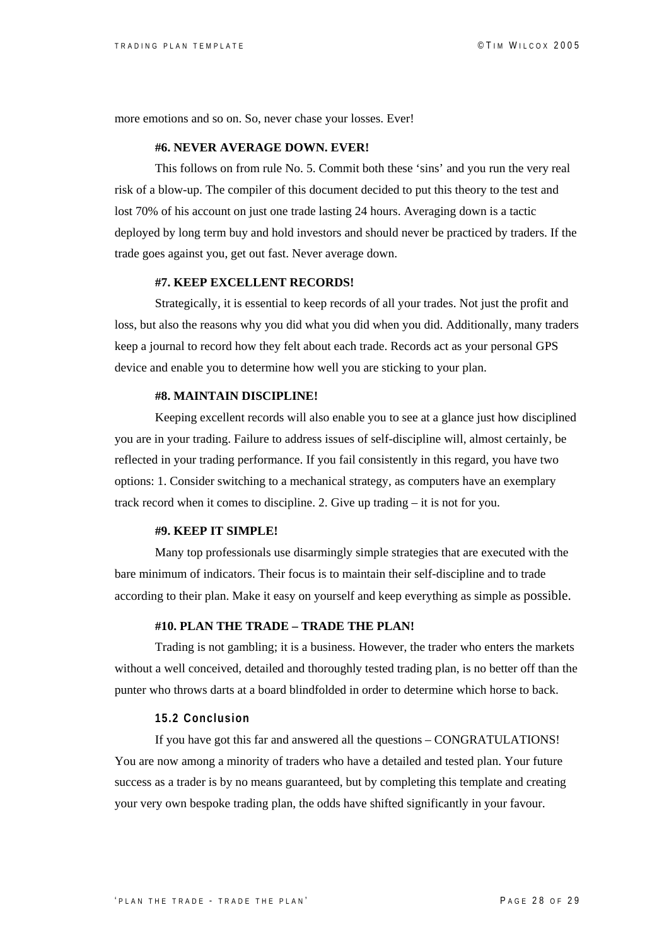more emotions and so on. So, never chase your losses. Ever!

#### **#6. NEVER AVERAGE DOWN. EVER!**

This follows on from rule No. 5. Commit both these 'sins' and you run the very real risk of a blow-up. The compiler of this document decided to put this theory to the test and lost 70% of his account on just one trade lasting 24 hours. Averaging down is a tactic deployed by long term buy and hold investors and should never be practiced by traders. If the trade goes against you, get out fast. Never average down.

#### **#7. KEEP EXCELLENT RECORDS!**

Strategically, it is essential to keep records of all your trades. Not just the profit and loss, but also the reasons why you did what you did when you did. Additionally, many traders keep a journal to record how they felt about each trade. Records act as your personal GPS device and enable you to determine how well you are sticking to your plan.

#### **#8. MAINTAIN DISCIPLINE!**

Keeping excellent records will also enable you to see at a glance just how disciplined you are in your trading. Failure to address issues of self-discipline will, almost certainly, be reflected in your trading performance. If you fail consistently in this regard, you have two options: 1. Consider switching to a mechanical strategy, as computers have an exemplary track record when it comes to discipline. 2. Give up trading – it is not for you.

#### **#9. KEEP IT SIMPLE!**

Many top professionals use disarmingly simple strategies that are executed with the bare minimum of indicators. Their focus is to maintain their self-discipline and to trade according to their plan. Make it easy on yourself and keep everything as simple as possible.

#### **#10. PLAN THE TRADE – TRADE THE PLAN!**

Trading is not gambling; it is a business. However, the trader who enters the markets without a well conceived, detailed and thoroughly tested trading plan, is no better off than the punter who throws darts at a board blindfolded in order to determine which horse to back.

#### **15.2 Conclusion**

If you have got this far and answered all the questions – CONGRATULATIONS! You are now among a minority of traders who have a detailed and tested plan. Your future success as a trader is by no means guaranteed, but by completing this template and creating your very own bespoke trading plan, the odds have shifted significantly in your favour.